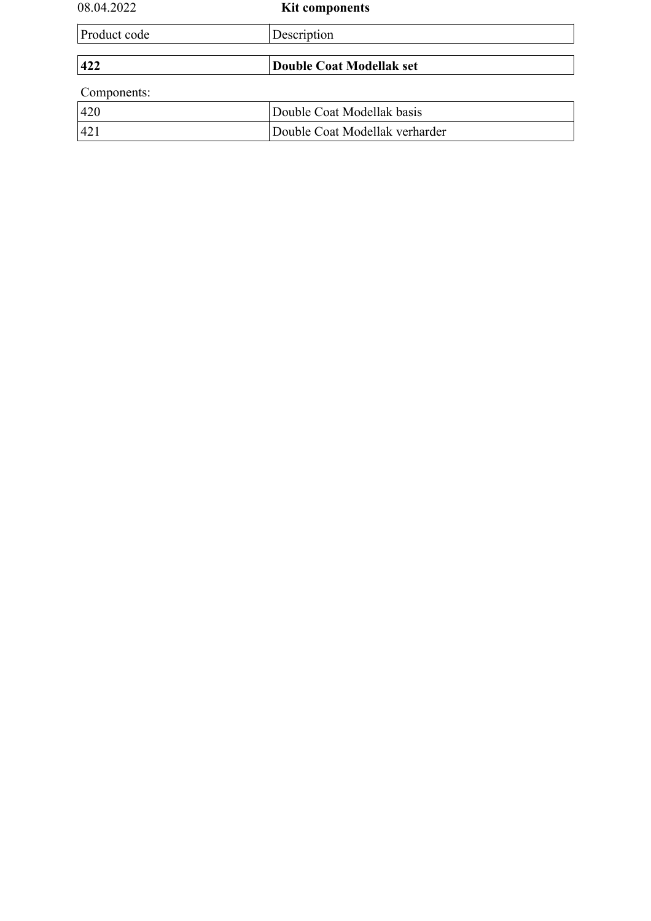| 08.04.2022   | <b>Kit components</b>           |
|--------------|---------------------------------|
| Product code | Description                     |
|              |                                 |
| 422          | <b>Double Coat Modellak set</b> |
| Components:  |                                 |
| 420          | Double Coat Modellak basis      |
| 421          | Double Coat Modellak verharder  |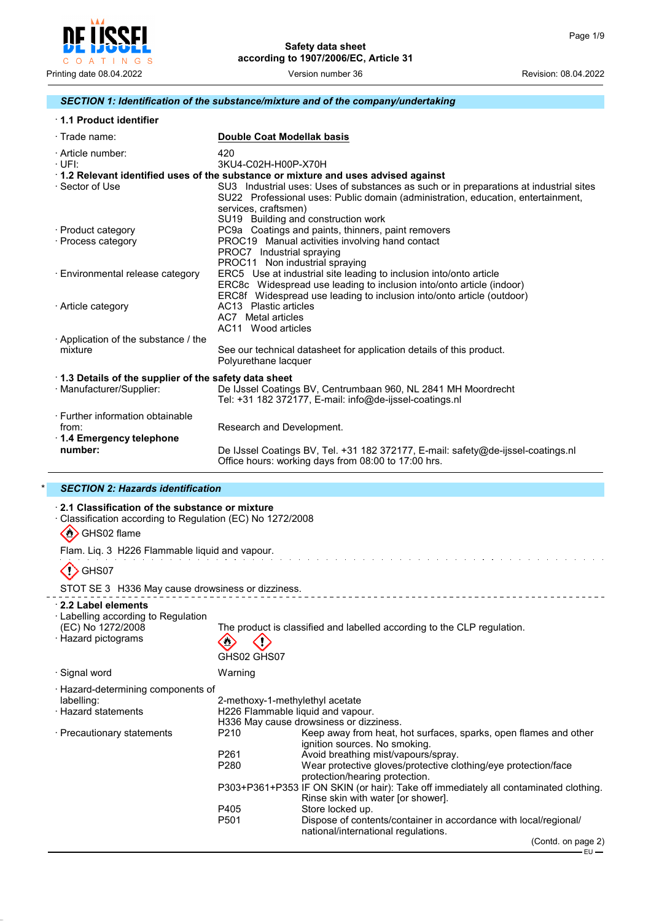

#### *SECTION 1: Identification of the substance/mixture and of the company/undertaking*

| 1.1 Product identifier |  |
|------------------------|--|
|------------------------|--|

| $\cdot$ Trade name:                                                              | <b>Double Coat Modellak basis</b>                                                                                                                                                                                                                                                                                                                            |
|----------------------------------------------------------------------------------|--------------------------------------------------------------------------------------------------------------------------------------------------------------------------------------------------------------------------------------------------------------------------------------------------------------------------------------------------------------|
| · Article number:<br>·UFI:<br>· Sector of Use                                    | 420<br>3KU4-C02H-H00P-X70H<br>1.2 Relevant identified uses of the substance or mixture and uses advised against<br>SU3 Industrial uses: Uses of substances as such or in preparations at industrial sites<br>SU22 Professional uses: Public domain (administration, education, entertainment,<br>services, craftsmen)<br>SU19 Building and construction work |
| · Product category<br>· Process category                                         | PC9a Coatings and paints, thinners, paint removers<br>PROC19 Manual activities involving hand contact<br>PROC7 Industrial spraying<br>PROC11 Non industrial spraying                                                                                                                                                                                         |
| · Environmental release category                                                 | ERC5 Use at industrial site leading to inclusion into/onto article<br>ERC8c Widespread use leading to inclusion into/onto article (indoor)<br>ERC8f Widespread use leading to inclusion into/onto article (outdoor)                                                                                                                                          |
| · Article category                                                               | AC13 Plastic articles<br>AC7 Metal articles<br>AC11 Wood articles                                                                                                                                                                                                                                                                                            |
| Application of the substance / the<br>mixture                                    | See our technical datasheet for application details of this product.<br>Polyurethane lacquer                                                                                                                                                                                                                                                                 |
| 1.3 Details of the supplier of the safety data sheet<br>· Manufacturer/Supplier: | De IJssel Coatings BV, Centrumbaan 960, NL 2841 MH Moordrecht<br>Tel: +31 182 372177, E-mail: info@de-ijssel-coatings.nl                                                                                                                                                                                                                                     |
| · Further information obtainable<br>from:<br>1.4 Emergency telephone             | Research and Development.                                                                                                                                                                                                                                                                                                                                    |
| number:                                                                          | De IJssel Coatings BV, Tel. +31 182 372177, E-mail: safety@de-ijssel-coatings.nl<br>Office hours: working days from 08:00 to 17:00 hrs.                                                                                                                                                                                                                      |

#### \* *SECTION 2: Hazards identification*

# · **2.1 Classification of the substance or mixture**

· Classification according to Regulation (EC) No 1272/2008

#### $\langle \langle \rangle \rangle$  GHS02 flame

Flam. Liq. 3 H226 Flammable liquid and vapour.

# $\langle \cdot \rangle$ GHS07

STOT SE 3 H336 May cause drowsiness or dizziness.

#### · **2.2 Label elements**

# · Labelling according to Regulation

The product is classified and labelled according to the CLP regulation.

 $\mathcal{A}$  $\mathcal{L}_{\mathcal{A}}$  i,

| · Hazard pictograms                | ◇<br>GHS02 GHS07 |
|------------------------------------|------------------|
| · Signal word                      | Warning          |
| · Hazard-determining components of |                  |

| labelling:                 | 2-methoxy-1-methylethyl acetate   |                                                                                                                           |
|----------------------------|-----------------------------------|---------------------------------------------------------------------------------------------------------------------------|
| $\cdot$ Hazard statements  | H226 Flammable liquid and vapour. |                                                                                                                           |
|                            |                                   | H336 May cause drowsiness or dizziness.                                                                                   |
| · Precautionary statements | P210                              | Keep away from heat, hot surfaces, sparks, open flames and other<br>ignition sources. No smoking.                         |
|                            | P <sub>261</sub>                  | Avoid breathing mist/vapours/spray.                                                                                       |
|                            | P <sub>280</sub>                  | Wear protective gloves/protective clothing/eye protection/face<br>protection/hearing protection.                          |
|                            |                                   | P303+P361+P353 IF ON SKIN (or hair): Take off immediately all contaminated clothing.<br>Rinse skin with water for shower. |
|                            | P405                              | Store locked up.                                                                                                          |
|                            | P <sub>501</sub>                  | Dispose of contents/container in accordance with local/regional/<br>national/international regulations.                   |

\_ \_ \_ \_ \_ \_ \_ \_ \_ \_ \_ \_ \_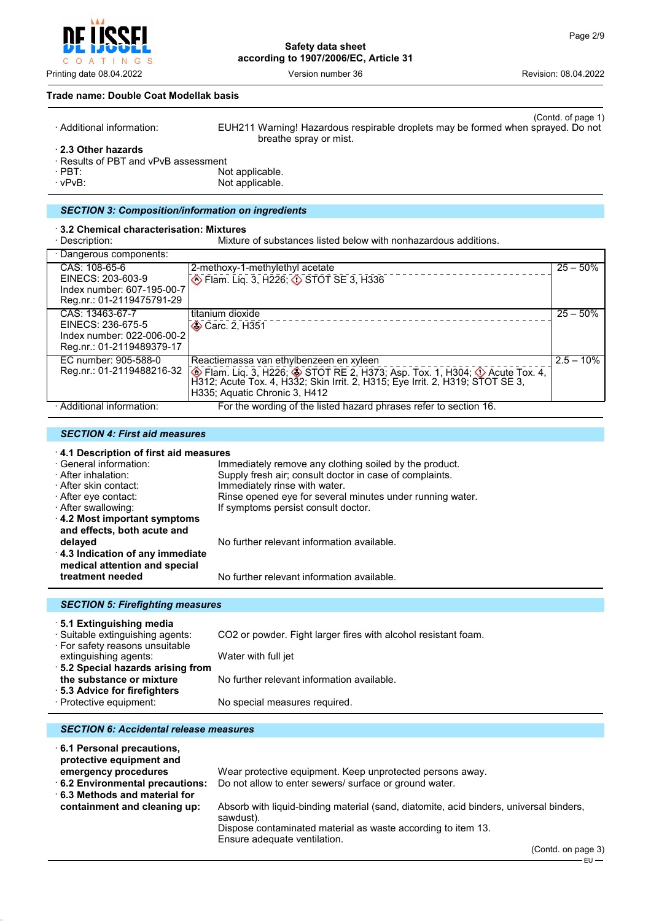

#### **Trade name: Double Coat Modellak basis**

| $\cdot$ Additional information:    | (Contd. of page 1)<br>EUH211 Warning! Hazardous respirable droplets may be formed when sprayed. Do not<br>breathe spray or mist. |
|------------------------------------|----------------------------------------------------------------------------------------------------------------------------------|
| 2.3 Other hazards                  |                                                                                                                                  |
| Results of PBT and vPvB assessment |                                                                                                                                  |
|                                    |                                                                                                                                  |

· PBT: Not applicable.

Not applicable.

#### *SECTION 3: Composition/information on ingredients*

· **3.2 Chemical characterisation: Mixtures** Mixture of substances listed below with nonhazardous additions.

| · Dangerous components:                                                                         |                                                                                                                                                                                                                                               |              |
|-------------------------------------------------------------------------------------------------|-----------------------------------------------------------------------------------------------------------------------------------------------------------------------------------------------------------------------------------------------|--------------|
| CAS: 108-65-6<br>EINECS: 203-603-9<br>Index number: 607-195-00-7<br>Reg.nr.: 01-2119475791-29   | 2-methoxy-1-methylethyl acetate<br>Elam. Liq. 3, H226; $\circledcirc$ STOT SE 3, H336                                                                                                                                                         | $25 - 50%$   |
| CAS: 13463-67-7<br>EINECS: 236-675-5<br>Index number: 022-006-00-2<br>Reg.nr.: 01-2119489379-17 | titanium dioxide<br>Carc. 2, H351                                                                                                                                                                                                             | $25 - 50\%$  |
| EC number: 905-588-0<br>Reg.nr.: 01-2119488216-32                                               | Reactiemassa van ethylbenzeen en xyleen<br>Flam. Liq. 3, H226; STOT RE 2, H373; Asp. Tox. 1, H304; $\Diamond$ Acute Tox. 4,<br>H312; Acute Tox. 4, H332; Skin Irrit. 2, H315; Eye Irrit. 2, H319; STOT SE 3,<br>H335; Aquatic Chronic 3, H412 | $2.5 - 10\%$ |
| · Additional information:                                                                       | For the wording of the listed hazard phrases refer to section 16.                                                                                                                                                                             |              |

#### *SECTION 4: First aid measures*

#### · **4.1 Description of first aid measures**

| · General information:<br>· After inhalation:<br>· After skin contact:<br>⋅ After eye contact: | Immediately remove any clothing soiled by the product.<br>Supply fresh air; consult doctor in case of complaints.<br>Immediately rinse with water.<br>Rinse opened eye for several minutes under running water. |
|------------------------------------------------------------------------------------------------|-----------------------------------------------------------------------------------------------------------------------------------------------------------------------------------------------------------------|
| · After swallowing:<br>4.2 Most important symptoms<br>and effects, both acute and              | If symptoms persist consult doctor.                                                                                                                                                                             |
| delayed<br>4.3 Indication of any immediate<br>medical attention and special                    | No further relevant information available.                                                                                                                                                                      |
| treatment needed                                                                               | No further relevant information available.                                                                                                                                                                      |

#### *SECTION 5: Firefighting measures* · **5.1 Extinguishing media** CO2 or powder. Fight larger fires with alcohol resistant foam. · For safety reasons unsuitable extinguishing agents: Water with full jet · **5.2 Special hazards arising from** No further relevant information available. · **5.3 Advice for firefighters** No special measures required.

#### *SECTION 6: Accidental release measures*

| 6.1 Personal precautions,<br>protective equipment and |                                                                                                     |
|-------------------------------------------------------|-----------------------------------------------------------------------------------------------------|
| emergency procedures                                  | Wear protective equipment. Keep unprotected persons away.                                           |
| 6.2 Environmental precautions:                        | Do not allow to enter sewers/ surface or ground water.                                              |
| $\cdot$ 6.3 Methods and material for                  |                                                                                                     |
| containment and cleaning up:                          | Absorb with liquid-binding material (sand, diatomite, acid binders, universal binders,<br>sawdust). |
|                                                       | Dispose contaminated material as waste according to item 13.<br>Ensure adequate ventilation.        |

(Contd. on page 3)  $EU -$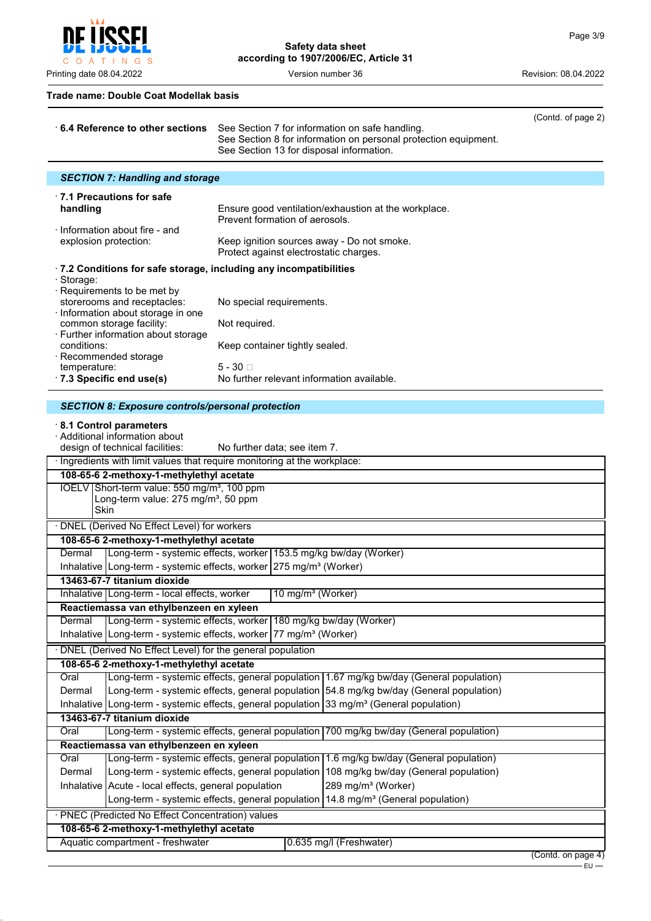וחסי C O A T I N G S

Printing date 08.04.2022 **Version number 36** Version number 36 Revision: 08.04.2022

**Safety data sheet according to 1907/2006/EC, Article 31**

#### **Trade name: Double Coat Modellak basis**

|                                                                               | (Contd. of page 2)                                                                                                                                                               |
|-------------------------------------------------------------------------------|----------------------------------------------------------------------------------------------------------------------------------------------------------------------------------|
| 6.4 Reference to other sections                                               | See Section 7 for information on safe handling.<br>See Section 8 for information on personal protection equipment.<br>See Section 13 for disposal information.                   |
| <b>SECTION 7: Handling and storage</b>                                        |                                                                                                                                                                                  |
| $\cdot$ 7.1 Precautions for safe                                              |                                                                                                                                                                                  |
| handling<br>$\cdot$ Information about fire - and                              | Ensure good ventilation/exhaustion at the workplace.<br>Prevent formation of aerosols.                                                                                           |
| explosion protection:                                                         | Keep ignition sources away - Do not smoke.<br>Protect against electrostatic charges.                                                                                             |
| .7.2 Conditions for safe storage, including any incompatibilities             |                                                                                                                                                                                  |
| · Storage:<br>· Requirements to be met by                                     |                                                                                                                                                                                  |
| storerooms and receptacles:<br>· Information about storage in one             | No special requirements.                                                                                                                                                         |
| common storage facility:                                                      | Not required.                                                                                                                                                                    |
| · Further information about storage<br>conditions:                            | Keep container tightly sealed.                                                                                                                                                   |
| · Recommended storage<br>temperature:                                         | $5 - 30$                                                                                                                                                                         |
| 7.3 Specific end use(s)                                                       | No further relevant information available.                                                                                                                                       |
| <b>SECTION 8: Exposure controls/personal protection</b>                       |                                                                                                                                                                                  |
| 8.1 Control parameters                                                        |                                                                                                                                                                                  |
| · Additional information about<br>design of technical facilities:             | No further data; see item 7.                                                                                                                                                     |
|                                                                               | · Ingredients with limit values that require monitoring at the workplace:                                                                                                        |
| 108-65-6 2-methoxy-1-methylethyl acetate                                      |                                                                                                                                                                                  |
| IOELV Short-term value: 550 mg/m <sup>3</sup> , 100 ppm                       |                                                                                                                                                                                  |
| Long-term value: 275 mg/m <sup>3</sup> , 50 ppm<br>Skin                       |                                                                                                                                                                                  |
| · DNEL (Derived No Effect Level) for workers                                  |                                                                                                                                                                                  |
| 108-65-6 2-methoxy-1-methylethyl acetate                                      |                                                                                                                                                                                  |
| Dermal                                                                        | Long-term - systemic effects, worker 153.5 mg/kg bw/day (Worker)                                                                                                                 |
|                                                                               | Inhalative Long-term - systemic effects, worker 275 mg/m <sup>3</sup> (Worker)                                                                                                   |
| 13463-67-7 titanium dioxide<br>Inhalative   Long-term - local effects, worker | 10 mg/m <sup>3</sup> (Worker)                                                                                                                                                    |
| Reactiemassa van ethylbenzeen en xyleen                                       |                                                                                                                                                                                  |
| Dermal                                                                        | Long-term - systemic effects, worker 180 mg/kg bw/day (Worker)                                                                                                                   |
|                                                                               | Inhalative   Long-term - systemic effects, worker   77 mg/m <sup>3</sup> (Worker)                                                                                                |
| DNEL (Derived No Effect Level) for the general population                     |                                                                                                                                                                                  |
| 108-65-6 2-methoxy-1-methylethyl acetate                                      |                                                                                                                                                                                  |
| Oral                                                                          | Long-term - systemic effects, general population 1.67 mg/kg bw/day (General population)                                                                                          |
| Dermal                                                                        | Long-term - systemic effects, general population 54.8 mg/kg bw/day (General population)                                                                                          |
|                                                                               | Inhalative Long-term - systemic effects, general population $33 \text{ mg/m}^3$ (General population)                                                                             |
| 13463-67-7 titanium dioxide                                                   |                                                                                                                                                                                  |
| Oral                                                                          | Long-term - systemic effects, general population 700 mg/kg bw/day (General population)                                                                                           |
| Reactiemassa van ethylbenzeen en xyleen                                       |                                                                                                                                                                                  |
| Oral<br>Dermal                                                                | Long-term - systemic effects, general population 1.6 mg/kg bw/day (General population)<br>Long-term - systemic effects, general population 108 mg/kg bw/day (General population) |
| Inhalative Acute - local effects, general population                          | 289 mg/m <sup>3</sup> (Worker)                                                                                                                                                   |
|                                                                               | Long-term - systemic effects, general population 14.8 mg/m <sup>3</sup> (General population)                                                                                     |
| · PNEC (Predicted No Effect Concentration) values                             |                                                                                                                                                                                  |
| 108-65-6 2-methoxy-1-methylethyl acetate                                      |                                                                                                                                                                                  |
| Aquatic compartment - freshwater                                              | 0.635 mg/l (Freshwater)                                                                                                                                                          |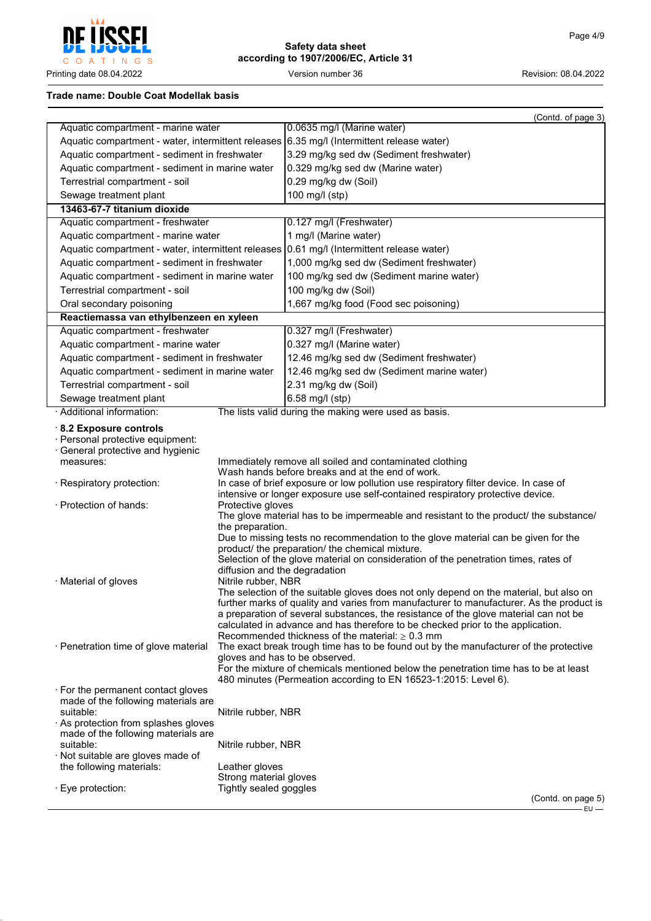

#### **Trade name: Double Coat Modellak basis**

|                                                                                                                                                                                   |                                                                          | (Contd. of page 3)                                                                                                                                                                                                                                                                                                                                                                                                                                                                                                                                                                                                                                                                                                                                                              |
|-----------------------------------------------------------------------------------------------------------------------------------------------------------------------------------|--------------------------------------------------------------------------|---------------------------------------------------------------------------------------------------------------------------------------------------------------------------------------------------------------------------------------------------------------------------------------------------------------------------------------------------------------------------------------------------------------------------------------------------------------------------------------------------------------------------------------------------------------------------------------------------------------------------------------------------------------------------------------------------------------------------------------------------------------------------------|
| Aquatic compartment - marine water                                                                                                                                                |                                                                          | 0.0635 mg/l (Marine water)                                                                                                                                                                                                                                                                                                                                                                                                                                                                                                                                                                                                                                                                                                                                                      |
|                                                                                                                                                                                   |                                                                          | Aquatic compartment - water, intermittent releases 6.35 mg/l (Intermittent release water)                                                                                                                                                                                                                                                                                                                                                                                                                                                                                                                                                                                                                                                                                       |
| Aquatic compartment - sediment in freshwater                                                                                                                                      |                                                                          | 3.29 mg/kg sed dw (Sediment freshwater)                                                                                                                                                                                                                                                                                                                                                                                                                                                                                                                                                                                                                                                                                                                                         |
| Aquatic compartment - sediment in marine water                                                                                                                                    |                                                                          | 0.329 mg/kg sed dw (Marine water)                                                                                                                                                                                                                                                                                                                                                                                                                                                                                                                                                                                                                                                                                                                                               |
| Terrestrial compartment - soil                                                                                                                                                    |                                                                          | 0.29 mg/kg dw (Soil)                                                                                                                                                                                                                                                                                                                                                                                                                                                                                                                                                                                                                                                                                                                                                            |
| Sewage treatment plant                                                                                                                                                            |                                                                          | 100 mg/l (stp)                                                                                                                                                                                                                                                                                                                                                                                                                                                                                                                                                                                                                                                                                                                                                                  |
| 13463-67-7 titanium dioxide                                                                                                                                                       |                                                                          |                                                                                                                                                                                                                                                                                                                                                                                                                                                                                                                                                                                                                                                                                                                                                                                 |
| Aquatic compartment - freshwater                                                                                                                                                  |                                                                          | 0.127 mg/l (Freshwater)                                                                                                                                                                                                                                                                                                                                                                                                                                                                                                                                                                                                                                                                                                                                                         |
| Aquatic compartment - marine water                                                                                                                                                |                                                                          | 1 mg/l (Marine water)                                                                                                                                                                                                                                                                                                                                                                                                                                                                                                                                                                                                                                                                                                                                                           |
| Aquatic compartment - water, intermittent releases                                                                                                                                |                                                                          | 0.61 mg/l (Intermittent release water)                                                                                                                                                                                                                                                                                                                                                                                                                                                                                                                                                                                                                                                                                                                                          |
| Aquatic compartment - sediment in freshwater                                                                                                                                      |                                                                          | 1,000 mg/kg sed dw (Sediment freshwater)                                                                                                                                                                                                                                                                                                                                                                                                                                                                                                                                                                                                                                                                                                                                        |
| Aquatic compartment - sediment in marine water                                                                                                                                    |                                                                          | 100 mg/kg sed dw (Sediment marine water)                                                                                                                                                                                                                                                                                                                                                                                                                                                                                                                                                                                                                                                                                                                                        |
| Terrestrial compartment - soil                                                                                                                                                    |                                                                          | 100 mg/kg dw (Soil)                                                                                                                                                                                                                                                                                                                                                                                                                                                                                                                                                                                                                                                                                                                                                             |
| Oral secondary poisoning                                                                                                                                                          |                                                                          | 1,667 mg/kg food (Food sec poisoning)                                                                                                                                                                                                                                                                                                                                                                                                                                                                                                                                                                                                                                                                                                                                           |
| Reactiemassa van ethylbenzeen en xyleen                                                                                                                                           |                                                                          |                                                                                                                                                                                                                                                                                                                                                                                                                                                                                                                                                                                                                                                                                                                                                                                 |
| Aquatic compartment - freshwater                                                                                                                                                  |                                                                          | 0.327 mg/l (Freshwater)                                                                                                                                                                                                                                                                                                                                                                                                                                                                                                                                                                                                                                                                                                                                                         |
| Aquatic compartment - marine water                                                                                                                                                |                                                                          | 0.327 mg/l (Marine water)                                                                                                                                                                                                                                                                                                                                                                                                                                                                                                                                                                                                                                                                                                                                                       |
| Aquatic compartment - sediment in freshwater                                                                                                                                      |                                                                          | 12.46 mg/kg sed dw (Sediment freshwater)                                                                                                                                                                                                                                                                                                                                                                                                                                                                                                                                                                                                                                                                                                                                        |
| Aquatic compartment - sediment in marine water                                                                                                                                    |                                                                          | 12.46 mg/kg sed dw (Sediment marine water)                                                                                                                                                                                                                                                                                                                                                                                                                                                                                                                                                                                                                                                                                                                                      |
| Terrestrial compartment - soil                                                                                                                                                    |                                                                          | 2.31 mg/kg dw (Soil)                                                                                                                                                                                                                                                                                                                                                                                                                                                                                                                                                                                                                                                                                                                                                            |
| Sewage treatment plant                                                                                                                                                            |                                                                          | 6.58 mg/l (stp)                                                                                                                                                                                                                                                                                                                                                                                                                                                                                                                                                                                                                                                                                                                                                                 |
| · Additional information:                                                                                                                                                         |                                                                          | The lists valid during the making were used as basis.                                                                                                                                                                                                                                                                                                                                                                                                                                                                                                                                                                                                                                                                                                                           |
| 8.2 Exposure controls<br>· Personal protective equipment:<br>· General protective and hygienic<br>measures:                                                                       |                                                                          | Immediately remove all soiled and contaminated clothing                                                                                                                                                                                                                                                                                                                                                                                                                                                                                                                                                                                                                                                                                                                         |
|                                                                                                                                                                                   |                                                                          | Wash hands before breaks and at the end of work.                                                                                                                                                                                                                                                                                                                                                                                                                                                                                                                                                                                                                                                                                                                                |
| · Respiratory protection:                                                                                                                                                         |                                                                          | In case of brief exposure or low pollution use respiratory filter device. In case of<br>intensive or longer exposure use self-contained respiratory protective device.                                                                                                                                                                                                                                                                                                                                                                                                                                                                                                                                                                                                          |
| · Protection of hands:                                                                                                                                                            | Protective gloves                                                        | The glove material has to be impermeable and resistant to the product/ the substance/                                                                                                                                                                                                                                                                                                                                                                                                                                                                                                                                                                                                                                                                                           |
| · Material of gloves<br>· Penetration time of glove material                                                                                                                      | the preparation.<br>diffusion and the degradation<br>Nitrile rubber, NBR | Due to missing tests no recommendation to the glove material can be given for the<br>product/ the preparation/ the chemical mixture.<br>Selection of the glove material on consideration of the penetration times, rates of<br>The selection of the suitable gloves does not only depend on the material, but also on<br>further marks of quality and varies from manufacturer to manufacturer. As the product is<br>a preparation of several substances, the resistance of the glove material can not be<br>calculated in advance and has therefore to be checked prior to the application.<br>Recommended thickness of the material: $\geq 0.3$ mm<br>The exact break trough time has to be found out by the manufacturer of the protective<br>gloves and has to be observed. |
| . For the permanent contact gloves                                                                                                                                                |                                                                          | For the mixture of chemicals mentioned below the penetration time has to be at least<br>480 minutes (Permeation according to EN 16523-1:2015: Level 6).                                                                                                                                                                                                                                                                                                                                                                                                                                                                                                                                                                                                                         |
| made of the following materials are<br>suitable:<br>· As protection from splashes gloves<br>made of the following materials are<br>suitable:<br>· Not suitable are gloves made of | Nitrile rubber, NBR<br>Nitrile rubber, NBR                               |                                                                                                                                                                                                                                                                                                                                                                                                                                                                                                                                                                                                                                                                                                                                                                                 |
| the following materials:                                                                                                                                                          | Leather gloves                                                           |                                                                                                                                                                                                                                                                                                                                                                                                                                                                                                                                                                                                                                                                                                                                                                                 |
|                                                                                                                                                                                   | Strong material gloves                                                   |                                                                                                                                                                                                                                                                                                                                                                                                                                                                                                                                                                                                                                                                                                                                                                                 |
| · Eye protection:                                                                                                                                                                 | Tightly sealed goggles                                                   | (Contd. on page 5)                                                                                                                                                                                                                                                                                                                                                                                                                                                                                                                                                                                                                                                                                                                                                              |
|                                                                                                                                                                                   |                                                                          | $EU -$                                                                                                                                                                                                                                                                                                                                                                                                                                                                                                                                                                                                                                                                                                                                                                          |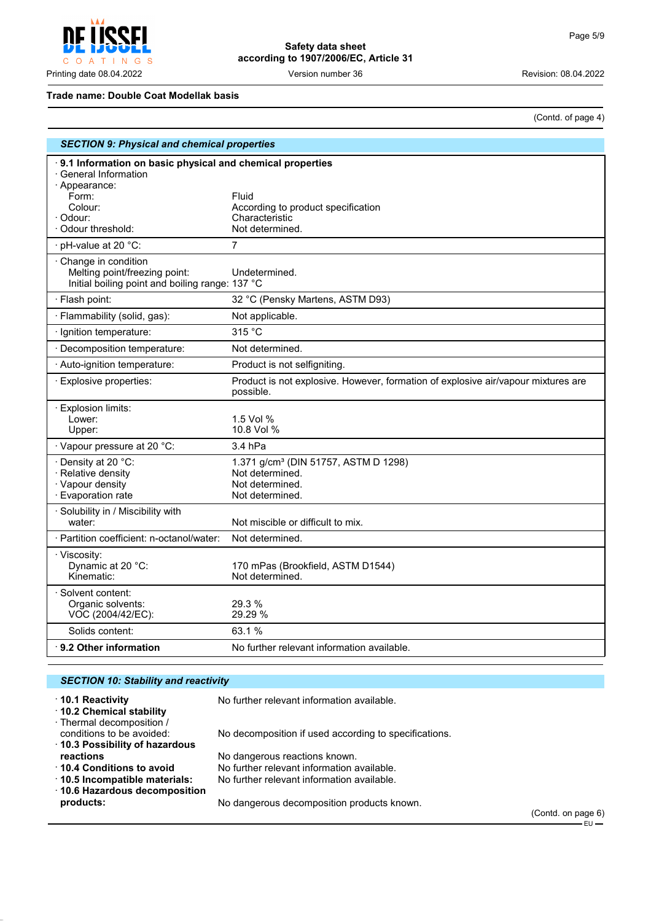

#### **Trade name: Double Coat Modellak basis**

(Contd. of page 4)

| <b>SECTION 9: Physical and chemical properties</b>                                                                                                      |                                                                                                           |  |
|---------------------------------------------------------------------------------------------------------------------------------------------------------|-----------------------------------------------------------------------------------------------------------|--|
| 9.1 Information on basic physical and chemical properties<br>· General Information<br>· Appearance:<br>Form:<br>Colour:<br>· Odour:<br>Odour threshold: | Fluid<br>According to product specification<br>Characteristic<br>Not determined.                          |  |
| pH-value at 20 °C:                                                                                                                                      | 7                                                                                                         |  |
| Change in condition<br>Melting point/freezing point:<br>Initial boiling point and boiling range: 137 °C                                                 | Undetermined.                                                                                             |  |
| · Flash point:                                                                                                                                          | 32 °C (Pensky Martens, ASTM D93)                                                                          |  |
| · Flammability (solid, gas):                                                                                                                            | Not applicable.                                                                                           |  |
| · Ignition temperature:                                                                                                                                 | 315 °C                                                                                                    |  |
| · Decomposition temperature:                                                                                                                            | Not determined.                                                                                           |  |
| · Auto-ignition temperature:                                                                                                                            | Product is not selfigniting.                                                                              |  |
| · Explosive properties:                                                                                                                                 | Product is not explosive. However, formation of explosive air/vapour mixtures are<br>possible.            |  |
| <b>Explosion limits:</b><br>Lower:<br>Upper:                                                                                                            | 1.5 Vol %<br>10.8 Vol %                                                                                   |  |
| · Vapour pressure at 20 °C:                                                                                                                             | $3.4$ hPa                                                                                                 |  |
| · Density at 20 °C:<br>· Relative density<br>· Vapour density<br>· Evaporation rate                                                                     | 1.371 g/cm <sup>3</sup> (DIN 51757, ASTM D 1298)<br>Not determined.<br>Not determined.<br>Not determined. |  |
| · Solubility in / Miscibility with<br>water:                                                                                                            | Not miscible or difficult to mix.                                                                         |  |
| · Partition coefficient: n-octanol/water:                                                                                                               | Not determined.                                                                                           |  |
| · Viscosity:<br>Dynamic at 20 °C:<br>Kinematic:                                                                                                         | 170 mPas (Brookfield, ASTM D1544)<br>Not determined.                                                      |  |
| · Solvent content:<br>Organic solvents:<br>VOC (2004/42/EC):                                                                                            | 29.3 %<br>29.29 %                                                                                         |  |
| Solids content:                                                                                                                                         | 63.1%                                                                                                     |  |
| $\cdot$ 9.2 Other information                                                                                                                           | No further relevant information available.                                                                |  |

| <b>SECTION 10: Stability and reactivity</b>                              |                                                       |  |
|--------------------------------------------------------------------------|-------------------------------------------------------|--|
| ⋅10.1 Reactivity<br>10.2 Chemical stability<br>· Thermal decomposition / | No further relevant information available.            |  |
| conditions to be avoided:<br>10.3 Possibility of hazardous               | No decomposition if used according to specifications. |  |
| reactions                                                                | No dangerous reactions known.                         |  |
| ↑ 10.4 Conditions to avoid                                               | No further relevant information available.            |  |
| $\cdot$ 10.5 Incompatible materials:                                     | No further relevant information available.            |  |
| 10.6 Hazardous decomposition                                             |                                                       |  |
| products:                                                                | No dangerous decomposition products known.            |  |

(Contd. on page 6)  $-EU$  —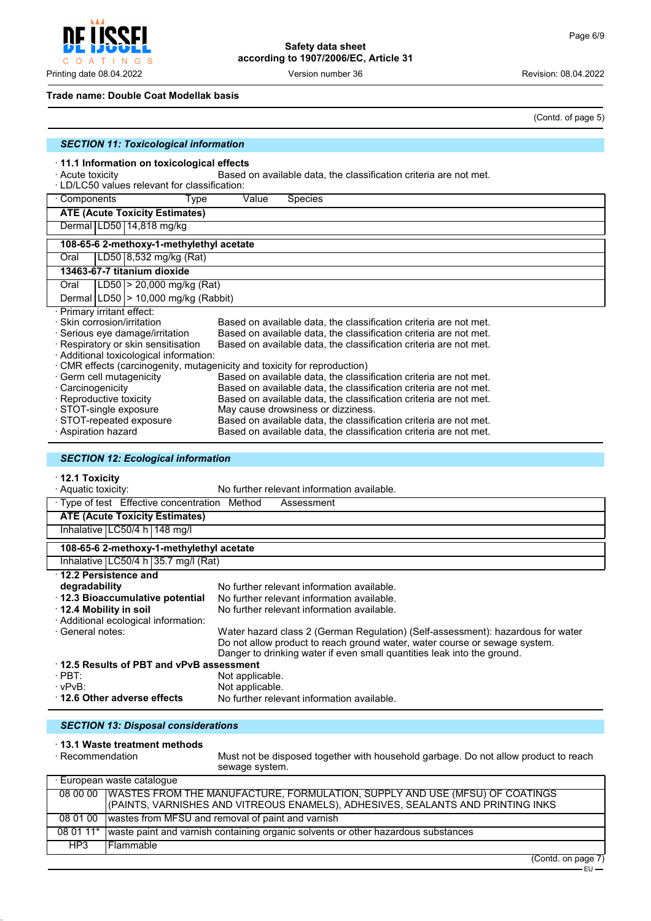$\mathsf{C}$ O A T INGS

**Safety data sheet according to 1907/2006/EC, Article 31**

Printing date 08.04.2022 **Version number 36** Version number 36 Revision: 08.04.2022

#### **Trade name: Double Coat Modellak basis**

(Contd. of page 5)

| <b>SECTION 11: Toxicological information</b>                                                                                                                                                |                                                                                                                                        |  |
|---------------------------------------------------------------------------------------------------------------------------------------------------------------------------------------------|----------------------------------------------------------------------------------------------------------------------------------------|--|
| $\cdot$ 11.1 Information on toxicological effects<br>Based on available data, the classification criteria are not met.<br>· Acute toxicity<br>· LD/LC50 values relevant for classification: |                                                                                                                                        |  |
| · Components<br>Type                                                                                                                                                                        | Value<br>Species                                                                                                                       |  |
| <b>ATE (Acute Toxicity Estimates)</b>                                                                                                                                                       |                                                                                                                                        |  |
| Dermal LD50 14,818 mg/kg                                                                                                                                                                    |                                                                                                                                        |  |
| 108-65-6 2-methoxy-1-methylethyl acetate                                                                                                                                                    |                                                                                                                                        |  |
| LD50 8,532 mg/kg (Rat)<br>Oral                                                                                                                                                              |                                                                                                                                        |  |
| 13463-67-7 titanium dioxide                                                                                                                                                                 |                                                                                                                                        |  |
| LD50  > 20,000 mg/kg (Rat)<br>Oral                                                                                                                                                          |                                                                                                                                        |  |
| Dermal   LD50   > 10,000 mg/kg (Rabbit)                                                                                                                                                     |                                                                                                                                        |  |
| · Primary irritant effect:                                                                                                                                                                  |                                                                                                                                        |  |
| · Skin corrosion/irritation                                                                                                                                                                 | Based on available data, the classification criteria are not met.                                                                      |  |
| ⋅ Serious eye damage/irritation<br>· Respiratory or skin sensitisation                                                                                                                      | Based on available data, the classification criteria are not met.<br>Based on available data, the classification criteria are not met. |  |
| · Additional toxicological information:                                                                                                                                                     |                                                                                                                                        |  |
|                                                                                                                                                                                             | CMR effects (carcinogenity, mutagenicity and toxicity for reproduction)                                                                |  |
| · Germ cell mutagenicity                                                                                                                                                                    | Based on available data, the classification criteria are not met.                                                                      |  |
| · Carcinogenicity                                                                                                                                                                           | Based on available data, the classification criteria are not met.                                                                      |  |
| · Reproductive toxicity                                                                                                                                                                     | Based on available data, the classification criteria are not met.                                                                      |  |
| · STOT-single exposure                                                                                                                                                                      | May cause drowsiness or dizziness.                                                                                                     |  |
| STOT-repeated exposure                                                                                                                                                                      | Based on available data, the classification criteria are not met.                                                                      |  |
| · Aspiration hazard                                                                                                                                                                         | Based on available data, the classification criteria are not met.                                                                      |  |

#### *SECTION 12: Ecological information*

# · **12.1 Toxicity**

| · Aquatic toxicity:                           | No further relevant information available.                                      |
|-----------------------------------------------|---------------------------------------------------------------------------------|
| · Type of test Effective concentration Method | Assessment                                                                      |
| <b>ATE (Acute Toxicity Estimates)</b>         |                                                                                 |
| Inhalative $LC50/4 h$ 148 mg/l                |                                                                                 |
| 108-65-6 2-methoxy-1-methylethyl acetate      |                                                                                 |
| Inhalative $ LC50/4 h 35.7 mg/l (Rat)$        |                                                                                 |
| 12.2 Persistence and                          |                                                                                 |
| degradability                                 | No further relevant information available.                                      |
| 12.3 Bioaccumulative potential                | No further relevant information available.                                      |
| 12.4 Mobility in soil                         | No further relevant information available.                                      |
| · Additional ecological information:          |                                                                                 |
| · General notes:                              | Water hazard class 2 (German Regulation) (Self-assessment): hazardous for water |
|                                               | Do not allow product to reach ground water, water course or sewage system.      |
|                                               | Danger to drinking water if even small quantities leak into the ground.         |
| 12.5 Results of PBT and vPvB assessment       |                                                                                 |
| $\cdot$ PBT:                                  | Not applicable.                                                                 |
| $\cdot$ vPvB:                                 | Not applicable.                                                                 |
| 12.6 Other adverse effects                    | No further relevant information available.                                      |

### *SECTION 13: Disposal considerations*

# · **13.1 Waste treatment methods**

Must not be disposed together with household garbage. Do not allow product to reach sewage system.

|          | · European waste catalogue                                                                  |
|----------|---------------------------------------------------------------------------------------------|
|          | 08 00 00   WASTES FROM THE MANUFACTURE, FORMULATION, SUPPLY AND USE (MFSU) OF COATINGS      |
|          | (PAINTS, VARNISHES AND VITREOUS ENAMELS), ADHESIVES, SEALANTS AND PRINTING INKS             |
| 08 01 00 | wastes from MFSU and removal of paint and varnish                                           |
|          | 08 01 11* waste paint and varnish containing organic solvents or other hazardous substances |
| HP3      | l Flammable                                                                                 |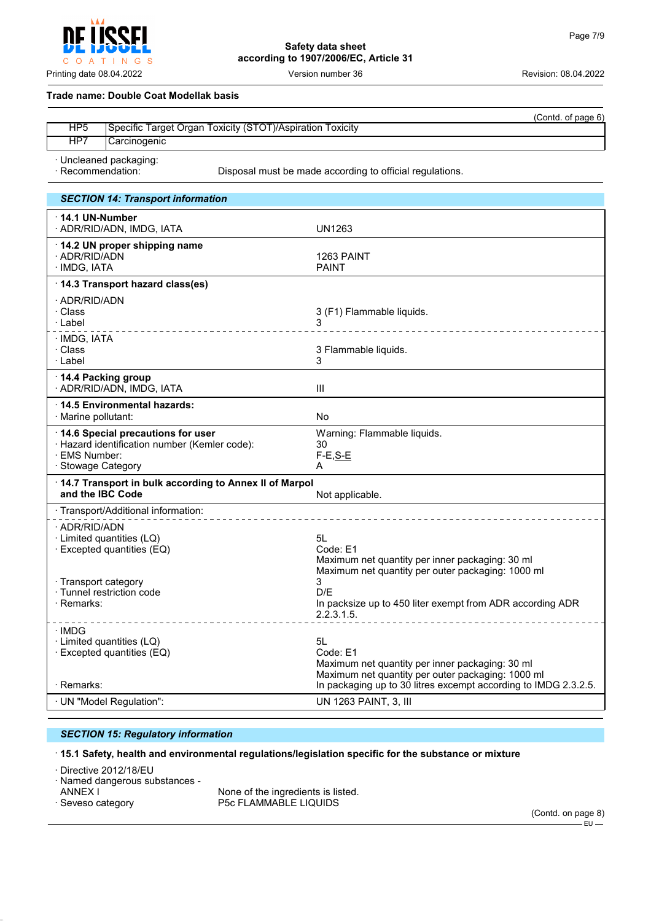$\circ$  $\overline{A}$  $\top$ INGS

### **Safety data sheet according to 1907/2006/EC, Article 31**

Printing date 08.04.2022 **Version number 36** Version number 36 Revision: 08.04.2022

#### **Trade name: Double Coat Modellak basis**

|                 | (Contd. of page 6)                                        |
|-----------------|-----------------------------------------------------------|
| HP <sub>5</sub> | Specific Target Organ Toxicity (STOT)/Aspiration Toxicity |
| HP7             | Carcinogenic                                              |
|                 |                                                           |

· Uncleaned packaging:

· Recommendation: Disposal must be made according to official regulations.

| <b>SECTION 14: Transport information</b>                                                                                  |                                                                                                                        |
|---------------------------------------------------------------------------------------------------------------------------|------------------------------------------------------------------------------------------------------------------------|
| 14.1 UN-Number<br>· ADR/RID/ADN, IMDG, IATA                                                                               | <b>UN1263</b>                                                                                                          |
| 14.2 UN proper shipping name<br>· ADR/RID/ADN<br>· IMDG, IATA                                                             | 1263 PAINT<br><b>PAINT</b>                                                                                             |
| 14.3 Transport hazard class(es)                                                                                           |                                                                                                                        |
| · ADR/RID/ADN<br>· Class<br>∴Label<br>________________                                                                    | 3 (F1) Flammable liquids.<br>___________________                                                                       |
| · IMDG, IATA<br>· Class<br>· Label                                                                                        | 3 Flammable liquids.<br>3                                                                                              |
| 14.4 Packing group<br>· ADR/RID/ADN, IMDG, IATA                                                                           | Ш                                                                                                                      |
| 14.5 Environmental hazards:<br>· Marine pollutant:                                                                        | No                                                                                                                     |
| 14.6 Special precautions for user<br>· Hazard identification number (Kemler code):<br>· EMS Number:<br>· Stowage Category | Warning: Flammable liquids.<br>30<br>$F-E, S-E$<br>A                                                                   |
| 14.7 Transport in bulk according to Annex II of Marpol<br>and the IBC Code                                                | Not applicable.                                                                                                        |
| · Transport/Additional information:                                                                                       |                                                                                                                        |
| · ADR/RID/ADN<br>· Limited quantities (LQ)<br>· Excepted quantities (EQ)                                                  | 5L<br>Code: E1<br>Maximum net quantity per inner packaging: 30 ml<br>Maximum net quantity per outer packaging: 1000 ml |
| · Transport category<br>· Tunnel restriction code<br>· Remarks:                                                           | 3<br>D/F<br>In packsize up to 450 liter exempt from ADR according ADR<br>2.2.3.1.5.<br><u>.</u>                        |
| · IMDG<br>· Limited quantities (LQ)<br>· Excepted quantities (EQ)                                                         | 5L<br>Code: E1<br>Maximum net quantity per inner packaging: 30 ml<br>Maximum net quantity per outer packaging: 1000 ml |
| · Remarks:                                                                                                                | In packaging up to 30 litres excempt according to IMDG 2.3.2.5.                                                        |
| · UN "Model Regulation":                                                                                                  | UN 1263 PAINT, 3, III                                                                                                  |

#### *SECTION 15: Regulatory information*

#### · **15.1 Safety, health and environmental regulations/legislation specific for the substance or mixture**

· Directive 2012/18/EU

· Named dangerous substances -

ANNEX I THE SECTE IN NONE Of the ingredients is listed.<br>
Seveso category The SECTLAMMABLE LIQUIDS P5c FLAMMABLE LIQUIDS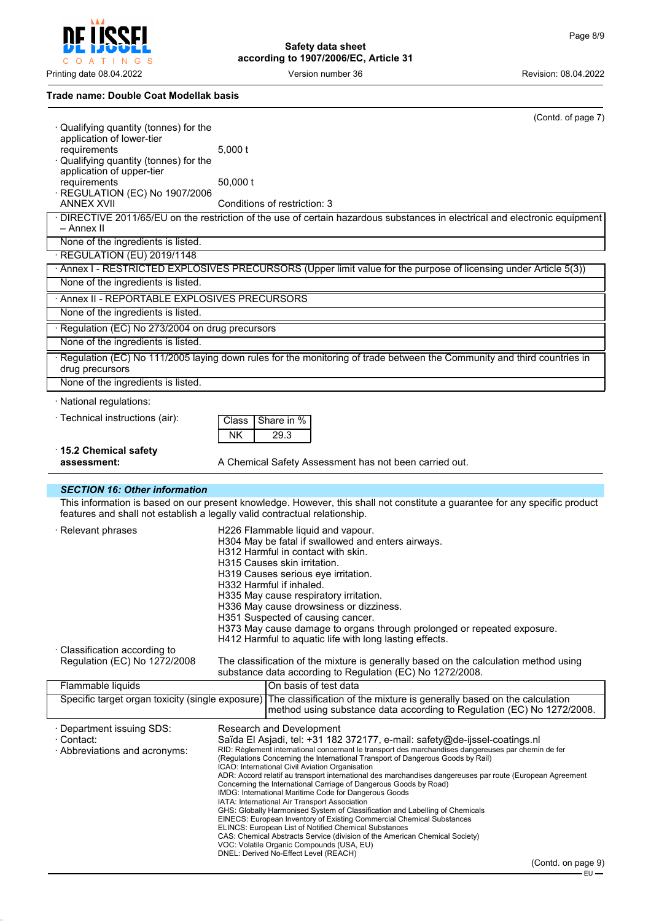**CCFI** I O A T I N G S  $\ddot{\rm C}$ 

**Safety data sheet according to 1907/2006/EC, Article 31**

Printing date 08.04.2022 **Version number 36** Version number 36 Revision: 08.04.2022

**Trade name: Double Coat Modellak basis**

| $\cdot$ Qualifying quantity (tonnes) for the                               |                                                                                                                            | (Contd. of page 7)                                                                                                                                |
|----------------------------------------------------------------------------|----------------------------------------------------------------------------------------------------------------------------|---------------------------------------------------------------------------------------------------------------------------------------------------|
| application of lower-tier                                                  |                                                                                                                            |                                                                                                                                                   |
| requirements                                                               | $5,000$ t                                                                                                                  |                                                                                                                                                   |
| Qualifying quantity (tonnes) for the                                       |                                                                                                                            |                                                                                                                                                   |
| application of upper-tier<br>requirements                                  | 50,000 t                                                                                                                   |                                                                                                                                                   |
| · REGULATION (EC) No 1907/2006                                             |                                                                                                                            |                                                                                                                                                   |
| <b>ANNEX XVII</b>                                                          | Conditions of restriction: 3                                                                                               |                                                                                                                                                   |
|                                                                            |                                                                                                                            | · DIRECTIVE 2011/65/EU on the restriction of the use of certain hazardous substances in electrical and electronic equipment                       |
| – Annex II                                                                 |                                                                                                                            |                                                                                                                                                   |
| None of the ingredients is listed.                                         |                                                                                                                            |                                                                                                                                                   |
| · REGULATION (EU) 2019/1148                                                |                                                                                                                            |                                                                                                                                                   |
|                                                                            |                                                                                                                            | · Annex I - RESTRICTED EXPLOSIVES PRECURSORS (Upper limit value for the purpose of licensing under Article 5(3))                                  |
| None of the ingredients is listed.                                         |                                                                                                                            |                                                                                                                                                   |
| · Annex II - REPORTABLE EXPLOSIVES PRECURSORS                              |                                                                                                                            |                                                                                                                                                   |
| None of the ingredients is listed.                                         |                                                                                                                            |                                                                                                                                                   |
| · Regulation (EC) No 273/2004 on drug precursors                           |                                                                                                                            |                                                                                                                                                   |
| None of the ingredients is listed.                                         |                                                                                                                            |                                                                                                                                                   |
|                                                                            |                                                                                                                            | Regulation (EC) No 111/2005 laying down rules for the monitoring of trade between the Community and third countries in                            |
| drug precursors<br>None of the ingredients is listed.                      |                                                                                                                            |                                                                                                                                                   |
| · National regulations:                                                    |                                                                                                                            |                                                                                                                                                   |
|                                                                            |                                                                                                                            |                                                                                                                                                   |
| · Technical instructions (air):                                            | Share in %<br>Class                                                                                                        |                                                                                                                                                   |
|                                                                            | <b>NK</b><br>29.3                                                                                                          |                                                                                                                                                   |
| 15.2 Chemical safety                                                       |                                                                                                                            |                                                                                                                                                   |
| assessment:                                                                | A Chemical Safety Assessment has not been carried out.                                                                     |                                                                                                                                                   |
|                                                                            |                                                                                                                            |                                                                                                                                                   |
|                                                                            |                                                                                                                            |                                                                                                                                                   |
| <b>SECTION 16: Other information</b>                                       |                                                                                                                            |                                                                                                                                                   |
| features and shall not establish a legally valid contractual relationship. |                                                                                                                            | This information is based on our present knowledge. However, this shall not constitute a guarantee for any specific product                       |
|                                                                            |                                                                                                                            |                                                                                                                                                   |
| $\cdot$ Relevant phrases                                                   | H226 Flammable liquid and vapour.                                                                                          |                                                                                                                                                   |
|                                                                            | H304 May be fatal if swallowed and enters airways.<br>H312 Harmful in contact with skin.                                   |                                                                                                                                                   |
|                                                                            | H315 Causes skin irritation.                                                                                               |                                                                                                                                                   |
|                                                                            | H319 Causes serious eye irritation.                                                                                        |                                                                                                                                                   |
|                                                                            | H332 Harmful if inhaled.                                                                                                   |                                                                                                                                                   |
|                                                                            | H335 May cause respiratory irritation.                                                                                     |                                                                                                                                                   |
|                                                                            | H336 May cause drowsiness or dizziness.<br>H351 Suspected of causing cancer.                                               |                                                                                                                                                   |
|                                                                            |                                                                                                                            | H373 May cause damage to organs through prolonged or repeated exposure.                                                                           |
|                                                                            | H412 Harmful to aquatic life with long lasting effects.                                                                    |                                                                                                                                                   |
| · Classification according to                                              |                                                                                                                            |                                                                                                                                                   |
| Regulation (EC) No 1272/2008                                               |                                                                                                                            | The classification of the mixture is generally based on the calculation method using<br>substance data according to Regulation (EC) No 1272/2008. |
| Flammable liquids                                                          | On basis of test data                                                                                                      |                                                                                                                                                   |
| Specific target organ toxicity (single exposure)                           |                                                                                                                            | The classification of the mixture is generally based on the calculation                                                                           |
|                                                                            |                                                                                                                            | method using substance data according to Regulation (EC) No 1272/2008.                                                                            |
| · Department issuing SDS:                                                  | Research and Development                                                                                                   |                                                                                                                                                   |
| · Contact:                                                                 |                                                                                                                            | Saïda El Asjadi, tel: +31 182 372177, e-mail: safety@de-ijssel-coatings.nl                                                                        |
| · Abbreviations and acronyms:                                              |                                                                                                                            | RID: Règlement international concernant le transport des marchandises dangereuses par chemin de fer                                               |
|                                                                            | ICAO: International Civil Aviation Organisation                                                                            | (Regulations Concerning the International Transport of Dangerous Goods by Rail)                                                                   |
|                                                                            |                                                                                                                            | ADR: Accord relatif au transport international des marchandises dangereuses par route (European Agreement                                         |
|                                                                            | Concerning the International Carriage of Dangerous Goods by Road)<br>IMDG: International Maritime Code for Dangerous Goods |                                                                                                                                                   |
|                                                                            | IATA: International Air Transport Association                                                                              |                                                                                                                                                   |
|                                                                            | EINECS: European Inventory of Existing Commercial Chemical Substances                                                      | GHS: Globally Harmonised System of Classification and Labelling of Chemicals                                                                      |
|                                                                            | ELINCS: European List of Notified Chemical Substances                                                                      | CAS: Chemical Abstracts Service (division of the American Chemical Society)                                                                       |

VOC: Volatile Organic Compounds (USA, EU) DNEL: Derived No-Effect Level (REACH)

(Contd. on page 9)

EU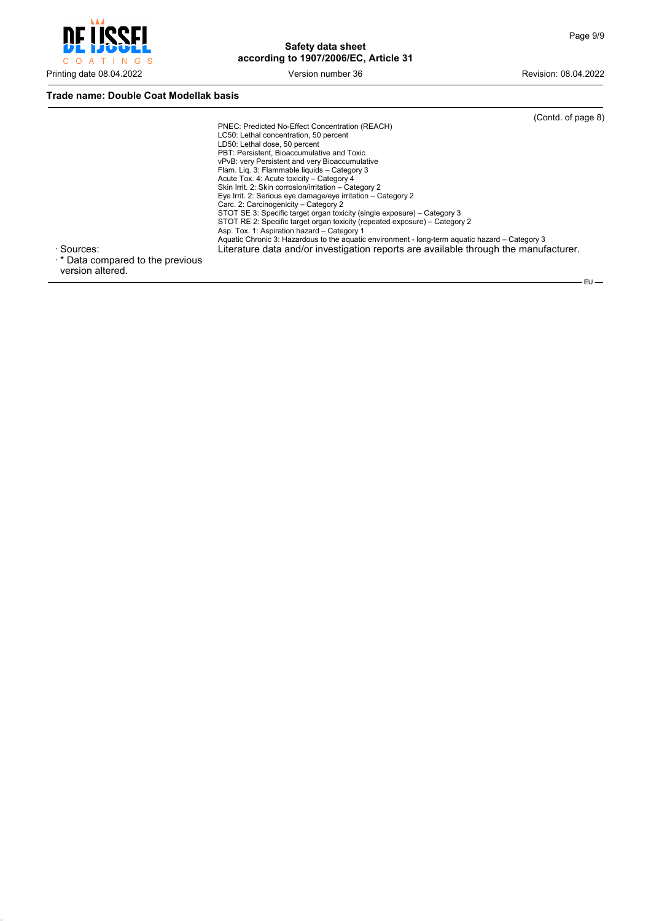

#### **Trade name: Double Coat Modellak basis**

|                                         |                                                                                                 | (Contd. of page 8) |
|-----------------------------------------|-------------------------------------------------------------------------------------------------|--------------------|
|                                         | PNEC: Predicted No-Effect Concentration (REACH)                                                 |                    |
|                                         | LC50: Lethal concentration, 50 percent                                                          |                    |
|                                         | LD50: Lethal dose, 50 percent                                                                   |                    |
|                                         | PBT: Persistent, Bioaccumulative and Toxic                                                      |                    |
|                                         | vPvB: very Persistent and very Bioaccumulative                                                  |                    |
|                                         | Flam. Lig. 3: Flammable liguids - Category 3                                                    |                    |
|                                         | Acute Tox. 4: Acute toxicity - Category 4                                                       |                    |
|                                         | Skin Irrit. 2: Skin corrosion/irritation - Category 2                                           |                    |
|                                         | Eye Irrit. 2: Serious eye damage/eye irritation - Category 2                                    |                    |
|                                         | Carc. 2: Carcinogenicity - Category 2                                                           |                    |
|                                         | STOT SE 3: Specific target organ toxicity (single exposure) – Category 3                        |                    |
|                                         | STOT RE 2: Specific target organ toxicity (repeated exposure) – Category 2                      |                    |
|                                         | Asp. Tox. 1: Aspiration hazard - Category 1                                                     |                    |
|                                         | Aquatic Chronic 3: Hazardous to the aguatic environment - long-term aguatic hazard – Category 3 |                    |
| · Sources:                              | Literature data and/or investigation reports are available through the manufacturer.            |                    |
| $\cdot$ * Data compared to the previous |                                                                                                 |                    |

version altered.

 $-EU$  -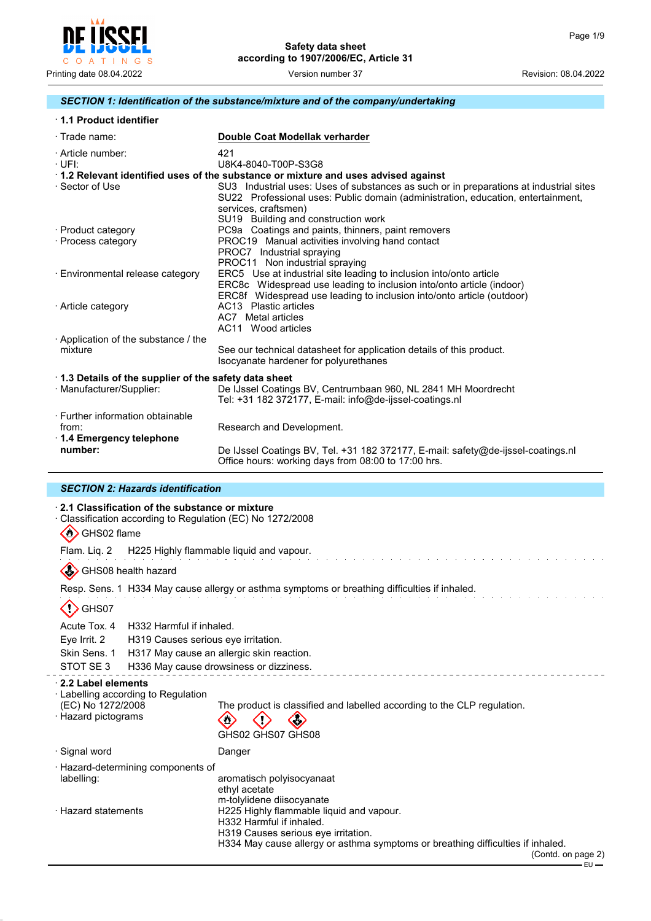

#### *SECTION 1: Identification of the substance/mixture and of the company/undertaking*

| 1.1 Product identifier                                                           |                                                                                                                                                                                                                                                                                                                                |
|----------------------------------------------------------------------------------|--------------------------------------------------------------------------------------------------------------------------------------------------------------------------------------------------------------------------------------------------------------------------------------------------------------------------------|
| $\cdot$ Trade name:                                                              | Double Coat Modellak verharder                                                                                                                                                                                                                                                                                                 |
| · Article number:<br>$\cdot$ UFI:                                                | 421<br>U8K4-8040-T00P-S3G8                                                                                                                                                                                                                                                                                                     |
| · Sector of Use                                                                  | 1.2 Relevant identified uses of the substance or mixture and uses advised against<br>SU3 Industrial uses: Uses of substances as such or in preparations at industrial sites<br>SU22 Professional uses: Public domain (administration, education, entertainment,<br>services, craftsmen)<br>SU19 Building and construction work |
| · Product category<br>· Process category                                         | PC9a Coatings and paints, thinners, paint removers<br>PROC19 Manual activities involving hand contact<br>PROC7 Industrial spraying<br>PROC11 Non industrial spraying                                                                                                                                                           |
| · Environmental release category                                                 | ERC5 Use at industrial site leading to inclusion into/onto article<br>ERC8c Widespread use leading to inclusion into/onto article (indoor)<br>ERC8f Widespread use leading to inclusion into/onto article (outdoor)                                                                                                            |
| · Article category                                                               | AC13 Plastic articles<br>AC7 Metal articles<br>AC11 Wood articles                                                                                                                                                                                                                                                              |
| Application of the substance / the<br>mixture                                    | See our technical datasheet for application details of this product.<br>Isocyanate hardener for polyurethanes                                                                                                                                                                                                                  |
| 1.3 Details of the supplier of the safety data sheet<br>· Manufacturer/Supplier: | De IJssel Coatings BV, Centrumbaan 960, NL 2841 MH Moordrecht<br>Tel: $+31$ 182 372177, E-mail: info@de-ijssel-coatings.nl                                                                                                                                                                                                     |
| · Further information obtainable<br>from:<br>1.4 Emergency telephone<br>number:  | Research and Development.                                                                                                                                                                                                                                                                                                      |
|                                                                                  | De IJssel Coatings BV, Tel. +31 182 372177, E-mail: safety@de-ijssel-coatings.nl<br>Office hours: working days from 08:00 to 17:00 hrs.                                                                                                                                                                                        |

#### *SECTION 2: Hazards identification*

#### · **2.1 Classification of the substance or mixture**

· Classification according to Regulation (EC) No 1272/2008

 $\langle \langle \rangle \rangle$  GHS02 flame

Flam. Liq. 2 H225 Highly flammable liquid and vapour.

GHS08 health hazard

Resp. Sens. 1 H334 May cause allergy or asthma symptoms or breathing difficulties if inhaled.

# $\langle \cdot \rangle$  GHS07

Acute Tox. 4 H332 Harmful if inhaled.

Eye Irrit. 2 H319 Causes serious eye irritation.

Skin Sens. 1 H317 May cause an allergic skin reaction.

STOT SE 3 H336 May cause drowsiness or dizziness.

#### · **2.2 Label elements**

· Labelling according to Regulation (EC) No 1272/2008 The product is classified and labelled according to the CLP regulation. · Hazard pictograms  $\langle \rangle$ 〈'〉  $\bigcirc$ GHS02 GHS07 GHS08 · Signal word **Danger** · Hazard-determining components of labelling: aromatisch polyisocyanaat ethyl acetate m-tolylidene diisocyanate · Hazard statements H225 Highly flammable liquid and vapour.

- H332 Harmful if inhaled.
- H319 Causes serious eye irritation. H334 May cause allergy or asthma symptoms or breathing difficulties if inhaled.

(Contd. on page 2)  $-$  FU  $-$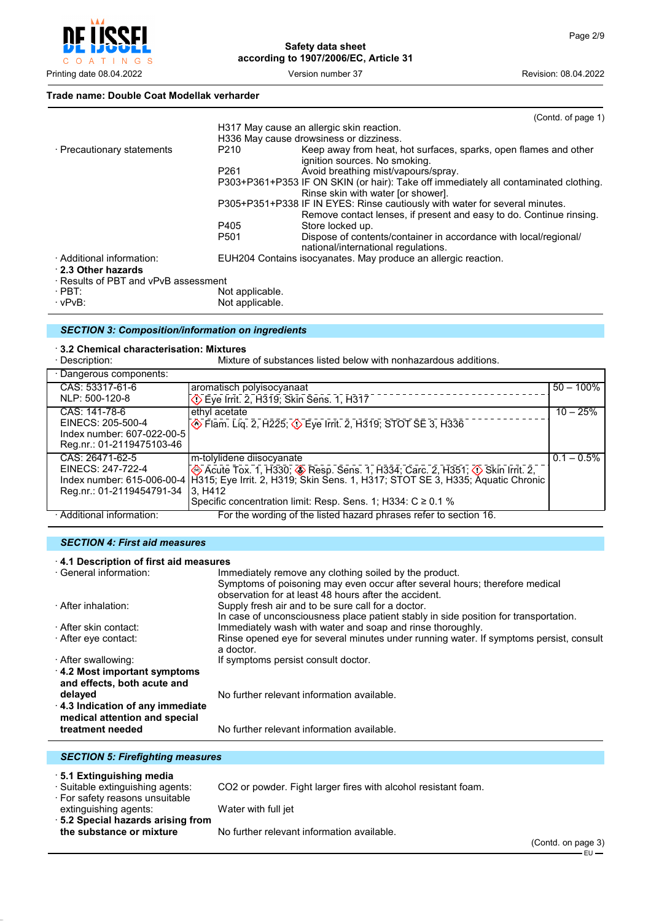

#### **Trade name: Double Coat Modellak verharder**

|                                      |                  | (Contd. of page 1)                                                                   |
|--------------------------------------|------------------|--------------------------------------------------------------------------------------|
|                                      |                  | H317 May cause an allergic skin reaction.                                            |
|                                      |                  | H336 May cause drowsiness or dizziness.                                              |
| · Precautionary statements           | P210             | Keep away from heat, hot surfaces, sparks, open flames and other                     |
|                                      |                  | ignition sources. No smoking.                                                        |
|                                      | P <sub>261</sub> | Avoid breathing mist/vapours/spray.                                                  |
|                                      |                  | P303+P361+P353 IF ON SKIN (or hair): Take off immediately all contaminated clothing. |
|                                      |                  | Rinse skin with water [or shower].                                                   |
|                                      |                  | P305+P351+P338 IF IN EYES: Rinse cautiously with water for several minutes.          |
|                                      |                  | Remove contact lenses, if present and easy to do. Continue rinsing.                  |
|                                      | P405             | Store locked up.                                                                     |
|                                      | P <sub>501</sub> | Dispose of contents/container in accordance with local/regional/                     |
|                                      |                  | national/international regulations.                                                  |
| · Additional information:            |                  | EUH204 Contains isocyanates. May produce an allergic reaction.                       |
| 2.3 Other hazards                    |                  |                                                                                      |
| · Results of PBT and vPvB assessment |                  |                                                                                      |
| $\cdot$ PBT:                         | Not applicable.  |                                                                                      |
| $\cdot$ vPvB:                        | Not applicable.  |                                                                                      |

#### *SECTION 3: Composition/information on ingredients*

# · **3.2 Chemical characterisation: Mixtures**

Mixture of substances listed below with nonhazardous additions.

| · Dangerous components:    |                                                                                                           |               |
|----------------------------|-----------------------------------------------------------------------------------------------------------|---------------|
| CAS: 53317-61-6            | aromatisch polyisocyanaat                                                                                 | $50 - 100\%$  |
| NLP: 500-120-8             | ⊙ Eye Irrit. 2, H319; Skin Sens. 1, H317                                                                  |               |
| CAS: 141-78-6              | ethyl acetate                                                                                             | $10 - 25%$    |
| EINECS: 205-500-4          | STOT SE 3, H225, 3 Eye Irrit. 2, H319, STOT SE 3, H336                                                    |               |
| Index number: 607-022-00-5 |                                                                                                           |               |
| Reg.nr.: 01-2119475103-46  |                                                                                                           |               |
| CAS: 26471-62-5            | m-tolylidene diisocyanate                                                                                 | $0.1 - 0.5\%$ |
| EINECS: 247-722-4          | Acute Tox. 1, H330; Sesp. Sens. 1, H334; Carc. 2, H351; $\Diamond$ Skin Irrit. 2,                         |               |
|                            | Index number: 615-006-00-4 H315; Eye Irrit. 2, H319; Skin Sens. 1, H317; STOT SE 3, H335; Aquatic Chronic |               |
| Reg.nr.: 01-2119454791-34  | 3. H412                                                                                                   |               |
|                            | Specific concentration limit: Resp. Sens. 1; H334: C ≥ 0.1 %                                              |               |
| · Additional information:  | For the wording of the listed hazard phrases refer to section 16.                                         |               |

#### *SECTION 4: First aid measures*

| 4.1 Description of first aid measures |                                                                                        |  |
|---------------------------------------|----------------------------------------------------------------------------------------|--|
| · General information:                | Immediately remove any clothing soiled by the product.                                 |  |
|                                       | Symptoms of poisoning may even occur after several hours; therefore medical            |  |
|                                       | observation for at least 48 hours after the accident.                                  |  |
| · After inhalation:                   | Supply fresh air and to be sure call for a doctor.                                     |  |
|                                       | In case of unconsciousness place patient stably in side position for transportation.   |  |
| · After skin contact:                 | Immediately wash with water and soap and rinse thoroughly.                             |  |
| ⋅ After eye contact:                  | Rinse opened eye for several minutes under running water. If symptoms persist, consult |  |
|                                       | a doctor.                                                                              |  |
| · After swallowing:                   | If symptoms persist consult doctor.                                                    |  |
| 4.2 Most important symptoms           |                                                                                        |  |
| and effects, both acute and           |                                                                                        |  |
| delayed                               | No further relevant information available.                                             |  |
| 4.3 Indication of any immediate       |                                                                                        |  |
| medical attention and special         |                                                                                        |  |
| treatment needed                      | No further relevant information available.                                             |  |

#### *SECTION 5: Firefighting measures*

· **5.1 Extinguishing media**

· For safety reasons unsuitable

CO2 or powder. Fight larger fires with alcohol resistant foam.

extinguishing agents: Water with full jet · **5.2 Special hazards arising from**

No further relevant information available.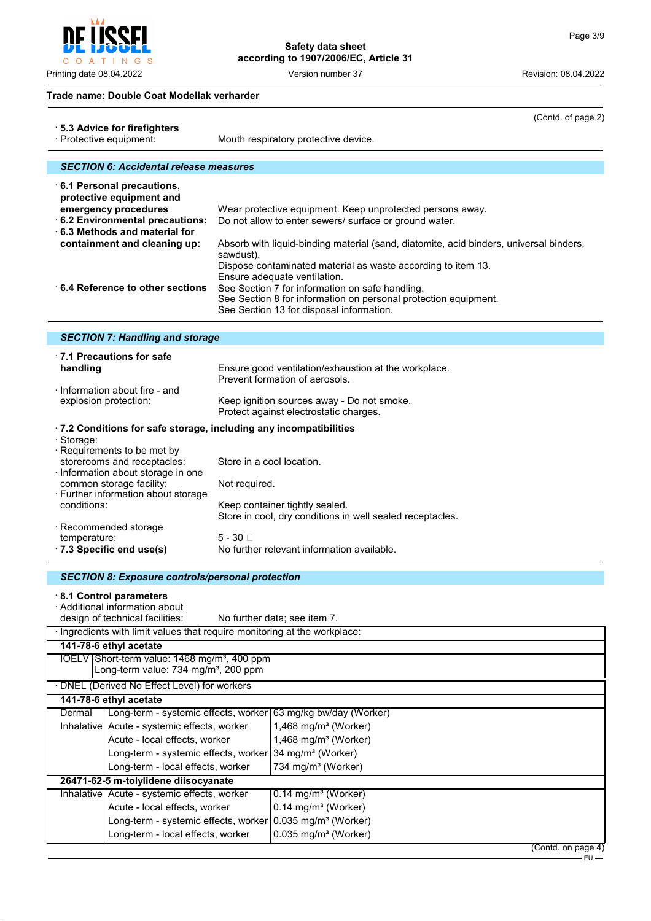C O A T I N G S

**Safety data sheet according to 1907/2006/EC, Article 31**

Printing date 08.04.2022 Version number 37 Revision: 08.04.2022

#### **Trade name: Double Coat Modellak verharder**

|                                                                                                                                             |                                                                                       |                                            | (Contd. of page 2)                                                                                                  |  |  |
|---------------------------------------------------------------------------------------------------------------------------------------------|---------------------------------------------------------------------------------------|--------------------------------------------|---------------------------------------------------------------------------------------------------------------------|--|--|
| 5.3 Advice for firefighters<br>· Protective equipment:                                                                                      |                                                                                       |                                            | Mouth respiratory protective device.                                                                                |  |  |
|                                                                                                                                             |                                                                                       |                                            |                                                                                                                     |  |  |
|                                                                                                                                             | <b>SECTION 6: Accidental release measures</b>                                         |                                            |                                                                                                                     |  |  |
|                                                                                                                                             | 6.1 Personal precautions,                                                             |                                            |                                                                                                                     |  |  |
|                                                                                                                                             | protective equipment and                                                              |                                            |                                                                                                                     |  |  |
| emergency procedures<br>6.2 Environmental precautions:                                                                                      |                                                                                       |                                            | Wear protective equipment. Keep unprotected persons away.<br>Do not allow to enter sewers/ surface or ground water. |  |  |
|                                                                                                                                             | 6.3 Methods and material for                                                          |                                            |                                                                                                                     |  |  |
|                                                                                                                                             | containment and cleaning up:                                                          |                                            | Absorb with liquid-binding material (sand, diatomite, acid binders, universal binders,                              |  |  |
|                                                                                                                                             |                                                                                       | sawdust).                                  | Dispose contaminated material as waste according to item 13.                                                        |  |  |
|                                                                                                                                             |                                                                                       |                                            | Ensure adequate ventilation.                                                                                        |  |  |
|                                                                                                                                             | 6.4 Reference to other sections                                                       |                                            | See Section 7 for information on safe handling.                                                                     |  |  |
|                                                                                                                                             |                                                                                       |                                            | See Section 8 for information on personal protection equipment.<br>See Section 13 for disposal information.         |  |  |
|                                                                                                                                             |                                                                                       |                                            |                                                                                                                     |  |  |
|                                                                                                                                             | <b>SECTION 7: Handling and storage</b>                                                |                                            |                                                                                                                     |  |  |
|                                                                                                                                             | $\cdot$ 7.1 Precautions for safe                                                      |                                            |                                                                                                                     |  |  |
| handling                                                                                                                                    |                                                                                       |                                            | Ensure good ventilation/exhaustion at the workplace.<br>Prevent formation of aerosols.                              |  |  |
|                                                                                                                                             | $\cdot$ Information about fire - and                                                  |                                            |                                                                                                                     |  |  |
|                                                                                                                                             | explosion protection:                                                                 |                                            | Keep ignition sources away - Do not smoke.                                                                          |  |  |
|                                                                                                                                             |                                                                                       |                                            | Protect against electrostatic charges.                                                                              |  |  |
| · Storage:                                                                                                                                  | .7.2 Conditions for safe storage, including any incompatibilities                     |                                            |                                                                                                                     |  |  |
|                                                                                                                                             | Requirements to be met by                                                             |                                            |                                                                                                                     |  |  |
| storerooms and receptacles:<br>Store in a cool location.<br>· Information about storage in one<br>common storage facility:<br>Not required. |                                                                                       |                                            |                                                                                                                     |  |  |
|                                                                                                                                             |                                                                                       |                                            |                                                                                                                     |  |  |
| · Further information about storage<br>conditions:<br>Keep container tightly sealed.                                                        |                                                                                       |                                            |                                                                                                                     |  |  |
|                                                                                                                                             |                                                                                       |                                            | Store in cool, dry conditions in well sealed receptacles.                                                           |  |  |
| · Recommended storage                                                                                                                       |                                                                                       | $5 - 30$ $\Box$                            |                                                                                                                     |  |  |
| temperature:                                                                                                                                | .7.3 Specific end use(s)                                                              | No further relevant information available. |                                                                                                                     |  |  |
|                                                                                                                                             |                                                                                       |                                            |                                                                                                                     |  |  |
|                                                                                                                                             | <b>SECTION 8: Exposure controls/personal protection</b>                               |                                            |                                                                                                                     |  |  |
|                                                                                                                                             | 8.1 Control parameters                                                                |                                            |                                                                                                                     |  |  |
|                                                                                                                                             | · Additional information about<br>design of technical facilities:                     |                                            | No further data; see item 7.                                                                                        |  |  |
|                                                                                                                                             |                                                                                       |                                            |                                                                                                                     |  |  |
| · Ingredients with limit values that require monitoring at the workplace:<br>141-78-6 ethyl acetate                                         |                                                                                       |                                            |                                                                                                                     |  |  |
| IOELV Short-term value: 1468 mg/m <sup>3</sup> , 400 ppm                                                                                    |                                                                                       |                                            |                                                                                                                     |  |  |
| Long-term value: 734 mg/m <sup>3</sup> , 200 ppm                                                                                            |                                                                                       |                                            |                                                                                                                     |  |  |
| DNEL (Derived No Effect Level) for workers<br>141-78-6 ethyl acetate                                                                        |                                                                                       |                                            |                                                                                                                     |  |  |
| Dermal                                                                                                                                      |                                                                                       |                                            | Long-term - systemic effects, worker 63 mg/kg bw/day (Worker)                                                       |  |  |
|                                                                                                                                             | Inhalative Acute - systemic effects, worker                                           |                                            | 1,468 mg/m <sup>3</sup> (Worker)                                                                                    |  |  |
|                                                                                                                                             | Acute - local effects, worker                                                         |                                            | 1,468 mg/m <sup>3</sup> (Worker)                                                                                    |  |  |
|                                                                                                                                             | Long-term - systemic effects, worker                                                  |                                            | 34 mg/m <sup>3</sup> (Worker)                                                                                       |  |  |
|                                                                                                                                             | Long-term - local effects, worker                                                     |                                            | 734 mg/m <sup>3</sup> (Worker)                                                                                      |  |  |
|                                                                                                                                             | 26471-62-5 m-tolylidene diisocyanate<br>Inhalative   Acute - systemic effects, worker |                                            | 0.14 mg/m <sup>3</sup> (Worker)                                                                                     |  |  |
|                                                                                                                                             | Acute - local effects, worker                                                         |                                            | $0.14$ mg/m <sup>3</sup> (Worker)                                                                                   |  |  |
|                                                                                                                                             | Long-term - systemic effects, worker                                                  |                                            | 0.035 mg/m <sup>3</sup> (Worker)                                                                                    |  |  |
|                                                                                                                                             | Long-term - local effects, worker                                                     |                                            | $0.035$ mg/m <sup>3</sup> (Worker)                                                                                  |  |  |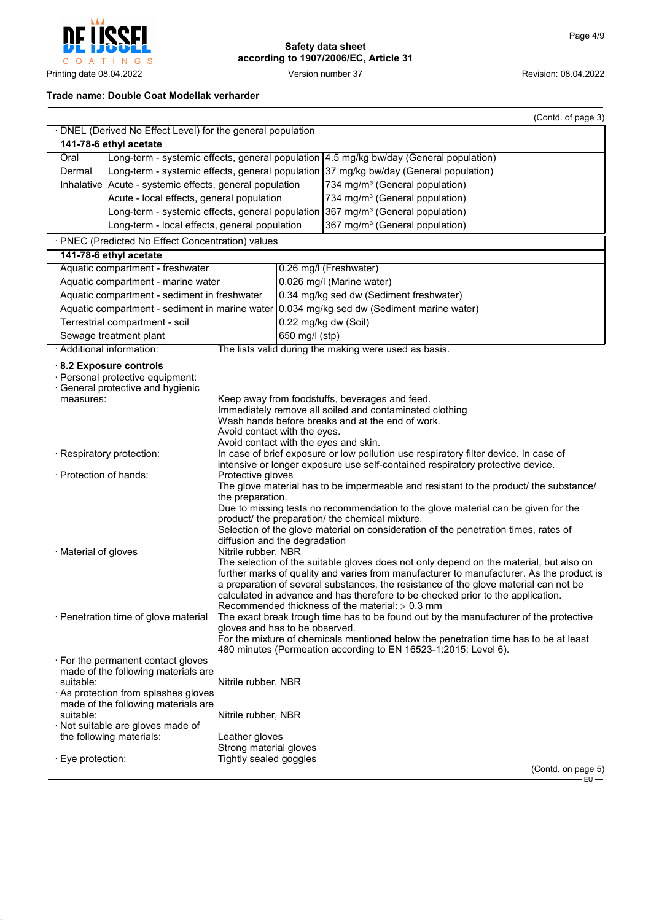

#### **Trade name: Double Coat Modellak verharder**

|                                               |                                                                                                |                                                                                                                                                                                                                                                                                                                                                                                                                                                                                                                                                                                                                                          |                                            |                                                                                                                                                                        | (Contd. of page 3) |  |
|-----------------------------------------------|------------------------------------------------------------------------------------------------|------------------------------------------------------------------------------------------------------------------------------------------------------------------------------------------------------------------------------------------------------------------------------------------------------------------------------------------------------------------------------------------------------------------------------------------------------------------------------------------------------------------------------------------------------------------------------------------------------------------------------------------|--------------------------------------------|------------------------------------------------------------------------------------------------------------------------------------------------------------------------|--------------------|--|
|                                               | · DNEL (Derived No Effect Level) for the general population                                    |                                                                                                                                                                                                                                                                                                                                                                                                                                                                                                                                                                                                                                          |                                            |                                                                                                                                                                        |                    |  |
|                                               | 141-78-6 ethyl acetate                                                                         |                                                                                                                                                                                                                                                                                                                                                                                                                                                                                                                                                                                                                                          |                                            |                                                                                                                                                                        |                    |  |
| Oral                                          | Long-term - systemic effects, general population 4.5 mg/kg bw/day (General population)         |                                                                                                                                                                                                                                                                                                                                                                                                                                                                                                                                                                                                                                          |                                            |                                                                                                                                                                        |                    |  |
| Dermal                                        |                                                                                                |                                                                                                                                                                                                                                                                                                                                                                                                                                                                                                                                                                                                                                          |                                            | Long-term - systemic effects, general population 37 mg/kg bw/day (General population)                                                                                  |                    |  |
|                                               | Inhalative   Acute - systemic effects, general population                                      |                                                                                                                                                                                                                                                                                                                                                                                                                                                                                                                                                                                                                                          |                                            | 734 mg/m <sup>3</sup> (General population)                                                                                                                             |                    |  |
|                                               | Acute - local effects, general population                                                      |                                                                                                                                                                                                                                                                                                                                                                                                                                                                                                                                                                                                                                          |                                            | 734 mg/m <sup>3</sup> (General population)                                                                                                                             |                    |  |
|                                               | Long-term - systemic effects, general population 367 mg/m <sup>3</sup> (General population)    |                                                                                                                                                                                                                                                                                                                                                                                                                                                                                                                                                                                                                                          |                                            |                                                                                                                                                                        |                    |  |
|                                               |                                                                                                |                                                                                                                                                                                                                                                                                                                                                                                                                                                                                                                                                                                                                                          | 367 mg/m <sup>3</sup> (General population) |                                                                                                                                                                        |                    |  |
| Long-term - local effects, general population |                                                                                                |                                                                                                                                                                                                                                                                                                                                                                                                                                                                                                                                                                                                                                          |                                            |                                                                                                                                                                        |                    |  |
|                                               | · PNEC (Predicted No Effect Concentration) values                                              |                                                                                                                                                                                                                                                                                                                                                                                                                                                                                                                                                                                                                                          |                                            |                                                                                                                                                                        |                    |  |
|                                               | 141-78-6 ethyl acetate                                                                         |                                                                                                                                                                                                                                                                                                                                                                                                                                                                                                                                                                                                                                          |                                            |                                                                                                                                                                        |                    |  |
|                                               | Aquatic compartment - freshwater                                                               |                                                                                                                                                                                                                                                                                                                                                                                                                                                                                                                                                                                                                                          |                                            | 0.26 mg/l (Freshwater)                                                                                                                                                 |                    |  |
|                                               | Aquatic compartment - marine water                                                             |                                                                                                                                                                                                                                                                                                                                                                                                                                                                                                                                                                                                                                          | 0.026 mg/l (Marine water)                  |                                                                                                                                                                        |                    |  |
|                                               | Aquatic compartment - sediment in freshwater                                                   |                                                                                                                                                                                                                                                                                                                                                                                                                                                                                                                                                                                                                                          |                                            | 0.34 mg/kg sed dw (Sediment freshwater)                                                                                                                                |                    |  |
|                                               |                                                                                                |                                                                                                                                                                                                                                                                                                                                                                                                                                                                                                                                                                                                                                          |                                            | Aquatic compartment - sediment in marine water 0.034 mg/kg sed dw (Sediment marine water)                                                                              |                    |  |
|                                               | Terrestrial compartment - soil                                                                 |                                                                                                                                                                                                                                                                                                                                                                                                                                                                                                                                                                                                                                          |                                            | 0.22 mg/kg dw (Soil)                                                                                                                                                   |                    |  |
|                                               | Sewage treatment plant                                                                         |                                                                                                                                                                                                                                                                                                                                                                                                                                                                                                                                                                                                                                          | 650 mg/l (stp)                             |                                                                                                                                                                        |                    |  |
|                                               | · Additional information:                                                                      |                                                                                                                                                                                                                                                                                                                                                                                                                                                                                                                                                                                                                                          |                                            | The lists valid during the making were used as basis.                                                                                                                  |                    |  |
| measures:                                     | 8.2 Exposure controls<br>· Personal protective equipment:<br>· General protective and hygienic |                                                                                                                                                                                                                                                                                                                                                                                                                                                                                                                                                                                                                                          |                                            |                                                                                                                                                                        |                    |  |
|                                               |                                                                                                | Avoid contact with the eyes.<br>Avoid contact with the eyes and skin.                                                                                                                                                                                                                                                                                                                                                                                                                                                                                                                                                                    |                                            | Keep away from foodstuffs, beverages and feed.<br>Immediately remove all soiled and contaminated clothing<br>Wash hands before breaks and at the end of work.          |                    |  |
|                                               | · Respiratory protection:                                                                      |                                                                                                                                                                                                                                                                                                                                                                                                                                                                                                                                                                                                                                          |                                            | In case of brief exposure or low pollution use respiratory filter device. In case of<br>intensive or longer exposure use self-contained respiratory protective device. |                    |  |
| · Protection of hands:                        |                                                                                                | Protective gloves                                                                                                                                                                                                                                                                                                                                                                                                                                                                                                                                                                                                                        |                                            | The glove material has to be impermeable and resistant to the product/ the substance/                                                                                  |                    |  |
|                                               |                                                                                                | the preparation.                                                                                                                                                                                                                                                                                                                                                                                                                                                                                                                                                                                                                         |                                            |                                                                                                                                                                        |                    |  |
|                                               |                                                                                                |                                                                                                                                                                                                                                                                                                                                                                                                                                                                                                                                                                                                                                          |                                            | Due to missing tests no recommendation to the glove material can be given for the                                                                                      |                    |  |
|                                               |                                                                                                |                                                                                                                                                                                                                                                                                                                                                                                                                                                                                                                                                                                                                                          |                                            | product/ the preparation/ the chemical mixture.                                                                                                                        |                    |  |
|                                               |                                                                                                |                                                                                                                                                                                                                                                                                                                                                                                                                                                                                                                                                                                                                                          |                                            | Selection of the glove material on consideration of the penetration times, rates of                                                                                    |                    |  |
|                                               |                                                                                                | diffusion and the degradation                                                                                                                                                                                                                                                                                                                                                                                                                                                                                                                                                                                                            |                                            |                                                                                                                                                                        |                    |  |
| · Material of gloves                          |                                                                                                | Nitrile rubber, NBR                                                                                                                                                                                                                                                                                                                                                                                                                                                                                                                                                                                                                      |                                            |                                                                                                                                                                        |                    |  |
|                                               | · Penetration time of glove material                                                           | The selection of the suitable gloves does not only depend on the material, but also on<br>further marks of quality and varies from manufacturer to manufacturer. As the product is<br>a preparation of several substances, the resistance of the glove material can not be<br>calculated in advance and has therefore to be checked prior to the application.<br>Recommended thickness of the material: $\geq 0.3$ mm<br>The exact break trough time has to be found out by the manufacturer of the protective<br>gloves and has to be observed.<br>For the mixture of chemicals mentioned below the penetration time has to be at least |                                            |                                                                                                                                                                        |                    |  |
|                                               |                                                                                                |                                                                                                                                                                                                                                                                                                                                                                                                                                                                                                                                                                                                                                          |                                            | 480 minutes (Permeation according to EN 16523-1:2015: Level 6).                                                                                                        |                    |  |
|                                               | $\cdot$ For the permanent contact gloves<br>made of the following materials are                |                                                                                                                                                                                                                                                                                                                                                                                                                                                                                                                                                                                                                                          |                                            |                                                                                                                                                                        |                    |  |
| suitable:                                     |                                                                                                | Nitrile rubber, NBR                                                                                                                                                                                                                                                                                                                                                                                                                                                                                                                                                                                                                      |                                            |                                                                                                                                                                        |                    |  |
|                                               | $\cdot$ As protection from splashes gloves<br>made of the following materials are              |                                                                                                                                                                                                                                                                                                                                                                                                                                                                                                                                                                                                                                          |                                            |                                                                                                                                                                        |                    |  |
| suitable:                                     |                                                                                                | Nitrile rubber, NBR                                                                                                                                                                                                                                                                                                                                                                                                                                                                                                                                                                                                                      |                                            |                                                                                                                                                                        |                    |  |
|                                               | · Not suitable are gloves made of                                                              |                                                                                                                                                                                                                                                                                                                                                                                                                                                                                                                                                                                                                                          |                                            |                                                                                                                                                                        |                    |  |
|                                               | the following materials:                                                                       | Leather gloves                                                                                                                                                                                                                                                                                                                                                                                                                                                                                                                                                                                                                           |                                            |                                                                                                                                                                        |                    |  |
|                                               |                                                                                                | Strong material gloves                                                                                                                                                                                                                                                                                                                                                                                                                                                                                                                                                                                                                   |                                            |                                                                                                                                                                        |                    |  |
| · Eye protection:                             |                                                                                                | Tightly sealed goggles                                                                                                                                                                                                                                                                                                                                                                                                                                                                                                                                                                                                                   |                                            |                                                                                                                                                                        |                    |  |
|                                               |                                                                                                |                                                                                                                                                                                                                                                                                                                                                                                                                                                                                                                                                                                                                                          |                                            |                                                                                                                                                                        | (Contd. on page 5) |  |
|                                               |                                                                                                |                                                                                                                                                                                                                                                                                                                                                                                                                                                                                                                                                                                                                                          |                                            |                                                                                                                                                                        | $EU -$             |  |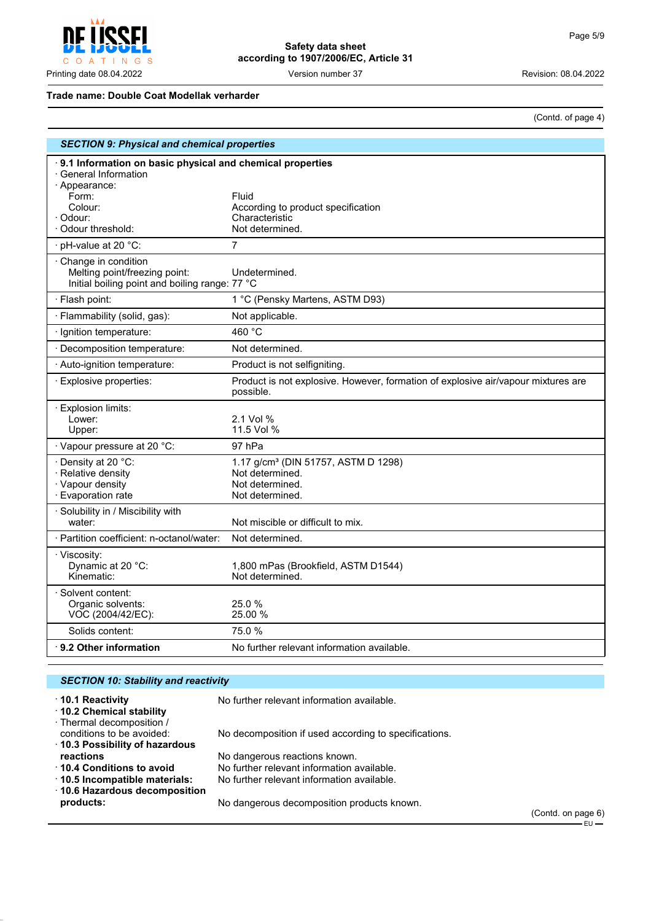

#### **Trade name: Double Coat Modellak verharder**

(Contd. of page 4)

| <b>SECTION 9: Physical and chemical properties</b>                                                                                                      |                                                                                                          |  |
|---------------------------------------------------------------------------------------------------------------------------------------------------------|----------------------------------------------------------------------------------------------------------|--|
| 9.1 Information on basic physical and chemical properties<br>· General Information<br>· Appearance:<br>Form:<br>Colour:<br>· Odour:<br>Odour threshold: | Fluid<br>According to product specification<br>Characteristic<br>Not determined.                         |  |
| pH-value at 20 °C:                                                                                                                                      | 7                                                                                                        |  |
| Change in condition<br>Melting point/freezing point:<br>Initial boiling point and boiling range: 77 °C                                                  | Undetermined.                                                                                            |  |
| · Flash point:                                                                                                                                          | 1 °C (Pensky Martens, ASTM D93)                                                                          |  |
| · Flammability (solid, gas):                                                                                                                            | Not applicable.                                                                                          |  |
| · Ignition temperature:                                                                                                                                 | 460 °C                                                                                                   |  |
| · Decomposition temperature:                                                                                                                            | Not determined.                                                                                          |  |
| · Auto-ignition temperature:                                                                                                                            | Product is not selfigniting.                                                                             |  |
| · Explosive properties:                                                                                                                                 | Product is not explosive. However, formation of explosive air/vapour mixtures are<br>possible.           |  |
| · Explosion limits:<br>Lower:<br>Upper:                                                                                                                 | 2.1 Vol %<br>11.5 Vol %                                                                                  |  |
| · Vapour pressure at 20 °C:                                                                                                                             | 97 hPa                                                                                                   |  |
| · Density at 20 °C:<br>· Relative density<br>· Vapour density<br>· Evaporation rate                                                                     | 1.17 g/cm <sup>3</sup> (DIN 51757, ASTM D 1298)<br>Not determined.<br>Not determined.<br>Not determined. |  |
| · Solubility in / Miscibility with<br>water:                                                                                                            | Not miscible or difficult to mix.                                                                        |  |
| · Partition coefficient: n-octanol/water:                                                                                                               | Not determined.                                                                                          |  |
| · Viscosity:<br>Dynamic at 20 °C:<br>Kinematic:                                                                                                         | 1,800 mPas (Brookfield, ASTM D1544)<br>Not determined.                                                   |  |
| · Solvent content:<br>Organic solvents:<br>VOC (2004/42/EC):                                                                                            | 25.0 %<br>25.00 %                                                                                        |  |
| Solids content:                                                                                                                                         | 75.0%                                                                                                    |  |
| $\cdot$ 9.2 Other information                                                                                                                           | No further relevant information available.                                                               |  |

| <b>SECTION 10: Stability and reactivity</b>                                     |                                                             |  |
|---------------------------------------------------------------------------------|-------------------------------------------------------------|--|
| $\cdot$ 10.1 Reactivity<br>10.2 Chemical stability<br>· Thermal decomposition / | No further relevant information available.                  |  |
| conditions to be avoided:<br>10.3 Possibility of hazardous                      | No decomposition if used according to specifications.       |  |
| reactions                                                                       | No dangerous reactions known.                               |  |
| 10.4 Conditions to avoid                                                        | No further relevant information available.                  |  |
| 10.5 Incompatible materials:                                                    | No further relevant information available.                  |  |
| 10.6 Hazardous decomposition<br>products:                                       | No dangerous decomposition products known.<br>$\sim$ $\sim$ |  |

(Contd. on page 6)  $-EU$  —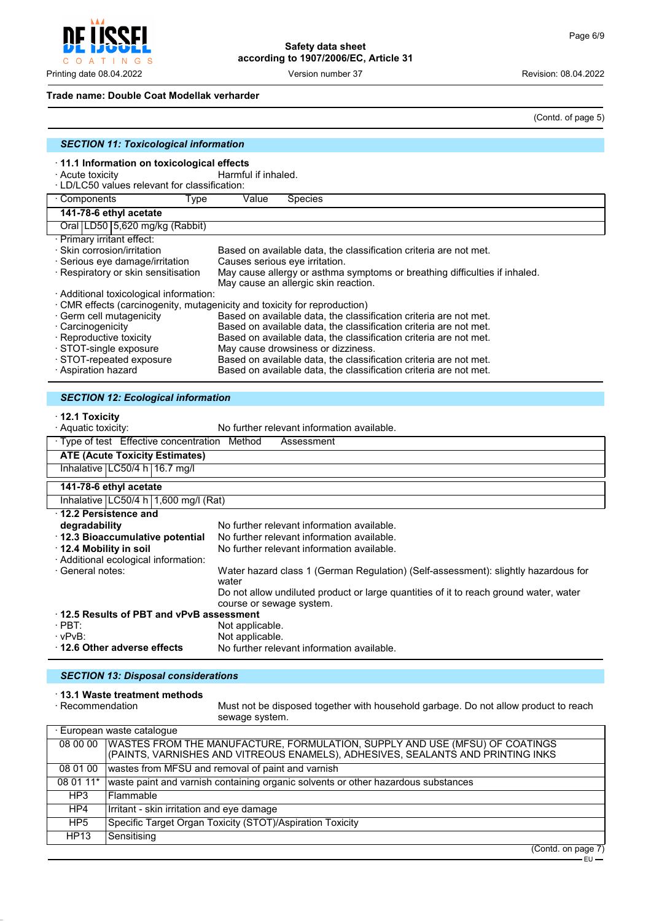$\mathsf{C}$ O A T INGS

**Safety data sheet according to 1907/2006/EC, Article 31**

Printing date 08.04.2022 Version number 37 Revision: 08.04.2022

#### **Trade name: Double Coat Modellak verharder**

(Contd. of page 5)

| <b>SECTION 11: Toxicological information</b>                                                     |                                                                                                                    |  |
|--------------------------------------------------------------------------------------------------|--------------------------------------------------------------------------------------------------------------------|--|
| 11.1 Information on toxicological effects                                                        |                                                                                                                    |  |
| · Acute toxicity                                                                                 | Harmful if inhaled.                                                                                                |  |
| · LD/LC50 values relevant for classification:                                                    |                                                                                                                    |  |
| · Components<br>Type                                                                             | Value<br><b>Species</b>                                                                                            |  |
| 141-78-6 ethyl acetate                                                                           |                                                                                                                    |  |
| Oral LD50 5,620 mg/kg (Rabbit)                                                                   |                                                                                                                    |  |
| · Primary irritant effect:                                                                       |                                                                                                                    |  |
| · Skin corrosion/irritation<br>Based on available data, the classification criteria are not met. |                                                                                                                    |  |
| · Serious eye damage/irritation<br>Causes serious eye irritation.                                |                                                                                                                    |  |
| · Respiratory or skin sensitisation                                                              | May cause allergy or asthma symptoms or breathing difficulties if inhaled.<br>May cause an allergic skin reaction. |  |
| · Additional toxicological information:                                                          |                                                                                                                    |  |
|                                                                                                  | · CMR effects (carcinogenity, mutagenicity and toxicity for reproduction)                                          |  |
| · Germ cell mutagenicity                                                                         | Based on available data, the classification criteria are not met.                                                  |  |
| Carcinogenicity                                                                                  | Based on available data, the classification criteria are not met.                                                  |  |
| · Reproductive toxicity                                                                          | Based on available data, the classification criteria are not met.                                                  |  |
| · STOT-single exposure<br>· STOT-repeated exposure                                               | May cause drowsiness or dizziness.<br>Based on available data, the classification criteria are not met.            |  |
| · Aspiration hazard                                                                              | Based on available data, the classification criteria are not met.                                                  |  |
|                                                                                                  |                                                                                                                    |  |
|                                                                                                  |                                                                                                                    |  |
| <b>SECTION 12: Ecological information</b>                                                        |                                                                                                                    |  |
| $\cdot$ 12.1 Toxicity                                                                            |                                                                                                                    |  |
| · Aquatic toxicity:                                                                              | No further relevant information available.                                                                         |  |
| · Type of test Effective concentration Method                                                    | Assessment                                                                                                         |  |
| <b>ATE (Acute Toxicity Estimates)</b>                                                            |                                                                                                                    |  |
| Inhalative LC50/4 h 16.7 mg/l                                                                    |                                                                                                                    |  |
| 141-78-6 ethyl acetate                                                                           |                                                                                                                    |  |
| Inhalative   LC50/4 h   1,600 mg/l (Rat)                                                         |                                                                                                                    |  |
| 12.2 Persistence and                                                                             |                                                                                                                    |  |
| degradability                                                                                    | No further relevant information available.                                                                         |  |
| · 12.3 Bioaccumulative potential                                                                 | No further relevant information available.                                                                         |  |
| 12.4 Mobility in soil                                                                            | No further relevant information available.                                                                         |  |
| · Additional ecological information:                                                             |                                                                                                                    |  |
| · General notes:                                                                                 | Water hazard class 1 (German Regulation) (Self-assessment): slightly hazardous for                                 |  |
|                                                                                                  | water                                                                                                              |  |
|                                                                                                  | Do not allow undiluted product or large quantities of it to reach ground water, water<br>course or sewage system.  |  |
| $\cdot$ 12.5 Results of PBT and vPvB assessment                                                  |                                                                                                                    |  |
| $\cdot$ PBT:                                                                                     | Not applicable.                                                                                                    |  |
| · vPvB:                                                                                          | Not applicable.                                                                                                    |  |
| 12.6 Other adverse effects                                                                       | No further relevant information available.                                                                         |  |
|                                                                                                  |                                                                                                                    |  |
| <b>SECTION 13: Disposal considerations</b>                                                       |                                                                                                                    |  |
| . 13 1 Wasto troatmont mothods                                                                   |                                                                                                                    |  |

· **13.1 Waste treatment methods**

Must not be disposed together with household garbage. Do not allow product to reach sewage system.

|                 | · European waste cataloque                                                                                                                                                |
|-----------------|---------------------------------------------------------------------------------------------------------------------------------------------------------------------------|
|                 | 08 00 00   WASTES FROM THE MANUFACTURE, FORMULATION, SUPPLY AND USE (MFSU) OF COATINGS<br>(PAINTS, VARNISHES AND VITREOUS ENAMELS), ADHESIVES, SEALANTS AND PRINTING INKS |
| 08 01 00        | wastes from MFSU and removal of paint and varnish                                                                                                                         |
| 08 01 11*       | waste paint and varnish containing organic solvents or other hazardous substances                                                                                         |
| HP3             | l Flammable                                                                                                                                                               |
| HP4             | Irritant - skin irritation and eye damage                                                                                                                                 |
| HP <sub>5</sub> | Specific Target Organ Toxicity (STOT)/Aspiration Toxicity                                                                                                                 |
| <b>HP13</b>     | Sensitising                                                                                                                                                               |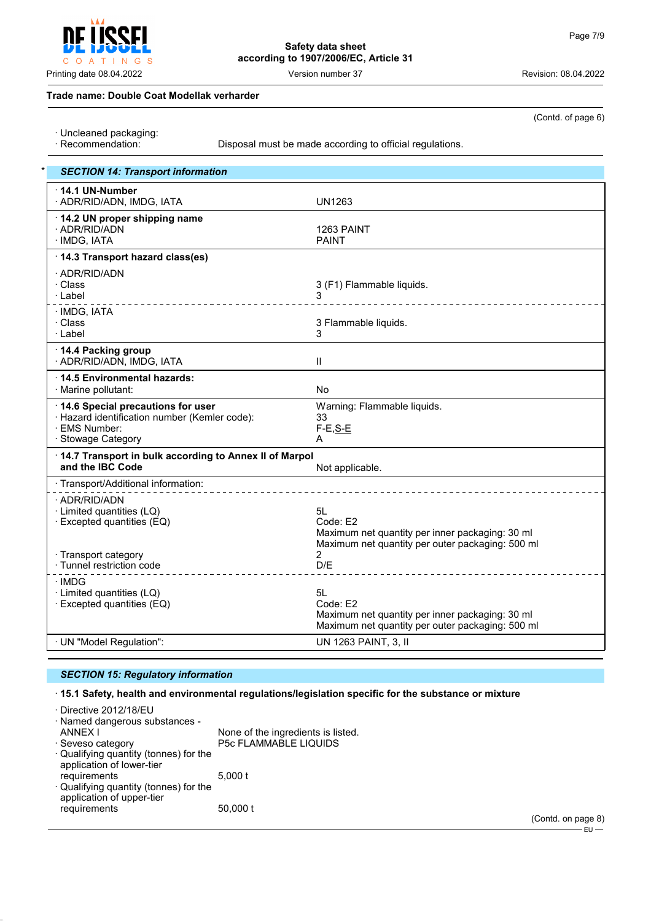Printing date 08.04.2022 Version number 37 Revision: 08.04.2022

(Contd. of page 6)

#### **Trade name: Double Coat Modellak verharder**

<sub>S</sub>

· Uncleaned packaging:

 $\vert N \vert$  G

 $\top$ 

 $\circ$  $\overline{A}$ 

Disposal must be made according to official regulations.

| <b>SECTION 14: Transport information</b>                                                                                  |                                                                                                                       |
|---------------------------------------------------------------------------------------------------------------------------|-----------------------------------------------------------------------------------------------------------------------|
| 14.1 UN-Number<br>· ADR/RID/ADN, IMDG, IATA                                                                               | <b>UN1263</b>                                                                                                         |
| 14.2 UN proper shipping name<br>· ADR/RID/ADN<br>· IMDG, IATA                                                             | 1263 PAINT<br><b>PAINT</b>                                                                                            |
| 14.3 Transport hazard class(es)                                                                                           |                                                                                                                       |
| · ADR/RID/ADN<br>· Class<br>· Label                                                                                       | 3 (F1) Flammable liquids.<br>3                                                                                        |
| · IMDG, IATA<br>· Class<br>· Label                                                                                        | 3 Flammable liquids.<br>3                                                                                             |
| 14.4 Packing group<br>· ADR/RID/ADN, IMDG, IATA                                                                           | $\mathbf{II}$                                                                                                         |
| 14.5 Environmental hazards:<br>· Marine pollutant:                                                                        | <b>No</b>                                                                                                             |
| 14.6 Special precautions for user<br>· Hazard identification number (Kemler code):<br>· EMS Number:<br>· Stowage Category | Warning: Flammable liquids.<br>33<br>$F-E, S-E$<br>A                                                                  |
| 14.7 Transport in bulk according to Annex II of Marpol<br>and the IBC Code                                                | Not applicable.                                                                                                       |
| · Transport/Additional information:                                                                                       |                                                                                                                       |
| · ADR/RID/ADN<br>· Limited quantities (LQ)<br>· Excepted quantities (EQ)                                                  | 5L<br>Code: E2<br>Maximum net quantity per inner packaging: 30 ml<br>Maximum net quantity per outer packaging: 500 ml |
| · Transport category<br>· Tunnel restriction code                                                                         | $\overline{2}$<br>D/E                                                                                                 |
| · IMDG<br>· Limited quantities (LQ)<br>· Excepted quantities (EQ)                                                         | 5L<br>Code: E2<br>Maximum net quantity per inner packaging: 30 ml<br>Maximum net quantity per outer packaging: 500 ml |
| · UN "Model Regulation":                                                                                                  | UN 1263 PAINT, 3, II                                                                                                  |

#### *SECTION 15: Regulatory information*

#### · **15.1 Safety, health and environmental regulations/legislation specific for the substance or mixture**

| · Directive 2012/18/EU<br>· Named dangerous substances -<br>ANNEX I<br>· Seveso category                                      | None of the ingredients is listed.<br>P5c FLAMMABLE LIQUIDS |
|-------------------------------------------------------------------------------------------------------------------------------|-------------------------------------------------------------|
| · Qualifying quantity (tonnes) for the<br>application of lower-tier<br>requirements<br>· Qualifying quantity (tonnes) for the | 5.000 t                                                     |
| application of upper-tier<br>requirements                                                                                     | 50,000 t                                                    |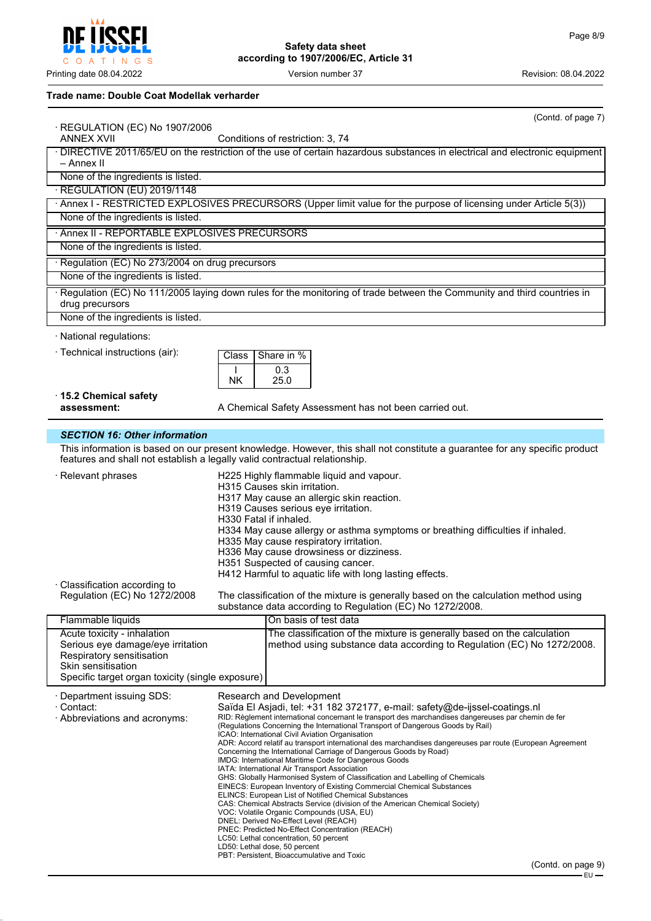Printing date 08.04.2022 **Version number 37** Version number 37 Revision: 08.04.2022

# **Trade name: Double Coat Modellak verharder**

**CCFI** 

C O A T I N G S

Į

|                                                                            |                        | (Contd. of page 7)                                                                                                                                                             |
|----------------------------------------------------------------------------|------------------------|--------------------------------------------------------------------------------------------------------------------------------------------------------------------------------|
| · REGULATION (EC) No 1907/2006<br><b>ANNEX XVII</b>                        |                        | Conditions of restriction: 3, 74                                                                                                                                               |
| – Annex II                                                                 |                        | · DIRECTIVE 2011/65/EU on the restriction of the use of certain hazardous substances in electrical and electronic equipment                                                    |
| None of the ingredients is listed.                                         |                        |                                                                                                                                                                                |
| · REGULATION (EU) 2019/1148                                                |                        |                                                                                                                                                                                |
|                                                                            |                        | · Annex I - RESTRICTED EXPLOSIVES PRECURSORS (Upper limit value for the purpose of licensing under Article 5(3))                                                               |
| None of the ingredients is listed.                                         |                        |                                                                                                                                                                                |
| · Annex II - REPORTABLE EXPLOSIVES PRECURSORS                              |                        |                                                                                                                                                                                |
| None of the ingredients is listed.                                         |                        |                                                                                                                                                                                |
| · Regulation (EC) No 273/2004 on drug precursors                           |                        |                                                                                                                                                                                |
| None of the ingredients is listed.                                         |                        |                                                                                                                                                                                |
| drug precursors                                                            |                        | · Regulation (EC) No 111/2005 laying down rules for the monitoring of trade between the Community and third countries in                                                       |
| None of the ingredients is listed.                                         |                        |                                                                                                                                                                                |
| · National regulations:                                                    |                        |                                                                                                                                                                                |
| · Technical instructions (air):                                            | Class                  | Share in %                                                                                                                                                                     |
|                                                                            | T                      | 0.3                                                                                                                                                                            |
|                                                                            | NK                     | 25.0                                                                                                                                                                           |
| 15.2 Chemical safety                                                       |                        |                                                                                                                                                                                |
| assessment:                                                                |                        | A Chemical Safety Assessment has not been carried out.                                                                                                                         |
| <b>SECTION 16: Other information</b>                                       |                        |                                                                                                                                                                                |
|                                                                            |                        | This information is based on our present knowledge. However, this shall not constitute a guarantee for any specific product                                                    |
| features and shall not establish a legally valid contractual relationship. |                        |                                                                                                                                                                                |
| · Relevant phrases                                                         |                        | H225 Highly flammable liquid and vapour.                                                                                                                                       |
|                                                                            |                        | H315 Causes skin irritation.<br>H317 May cause an allergic skin reaction.                                                                                                      |
|                                                                            |                        | H319 Causes serious eye irritation.                                                                                                                                            |
|                                                                            | H330 Fatal if inhaled. |                                                                                                                                                                                |
|                                                                            |                        | H334 May cause allergy or asthma symptoms or breathing difficulties if inhaled.<br>H335 May cause respiratory irritation.                                                      |
|                                                                            |                        | H336 May cause drowsiness or dizziness.                                                                                                                                        |
|                                                                            |                        | H351 Suspected of causing cancer.<br>H412 Harmful to aquatic life with long lasting effects.                                                                                   |
| · Classification according to                                              |                        |                                                                                                                                                                                |
| Regulation (EC) No 1272/2008                                               |                        | The classification of the mixture is generally based on the calculation method using<br>substance data according to Regulation (EC) No 1272/2008.                              |
| Flammable liquids                                                          |                        | On basis of test data                                                                                                                                                          |
| Acute toxicity - inhalation<br>Serious eye damage/eye irritation           |                        | The classification of the mixture is generally based on the calculation<br>method using substance data according to Regulation (EC) No 1272/2008.                              |
| Respiratory sensitisation                                                  |                        |                                                                                                                                                                                |
| Skin sensitisation                                                         |                        |                                                                                                                                                                                |
| Specific target organ toxicity (single exposure)                           |                        |                                                                                                                                                                                |
| · Department issuing SDS:<br>· Contact:                                    |                        | Research and Development<br>Saïda El Asjadi, tel: +31 182 372177, e-mail: safety@de-ijssel-coatings.nl                                                                         |
| · Abbreviations and acronyms:                                              |                        | RID: Règlement international concernant le transport des marchandises dangereuses par chemin de fer                                                                            |
|                                                                            |                        | (Regulations Concerning the International Transport of Dangerous Goods by Rail)<br>ICAO: International Civil Aviation Organisation                                             |
|                                                                            |                        | ADR: Accord relatif au transport international des marchandises dangereuses par route (European Agreement<br>Concerning the International Carriage of Dangerous Goods by Road) |
|                                                                            |                        | IMDG: International Maritime Code for Dangerous Goods                                                                                                                          |
|                                                                            |                        | IATA: International Air Transport Association<br>GHS: Globally Harmonised System of Classification and Labelling of Chemicals                                                  |
|                                                                            |                        | EINECS: European Inventory of Existing Commercial Chemical Substances<br><b>ELINCS: European List of Notified Chemical Substances</b>                                          |
|                                                                            |                        | CAS: Chemical Abstracts Service (division of the American Chemical Society)<br>VOC: Volatile Organic Compounds (USA, EU)                                                       |
|                                                                            |                        | DNEL: Derived No-Effect Level (REACH)                                                                                                                                          |
|                                                                            |                        | PNEC: Predicted No-Effect Concentration (REACH)<br>LC50: Lethal concentration, 50 percent                                                                                      |
|                                                                            |                        | LD50: Lethal dose, 50 percent<br>PBT: Persistent, Bioaccumulative and Toxic                                                                                                    |